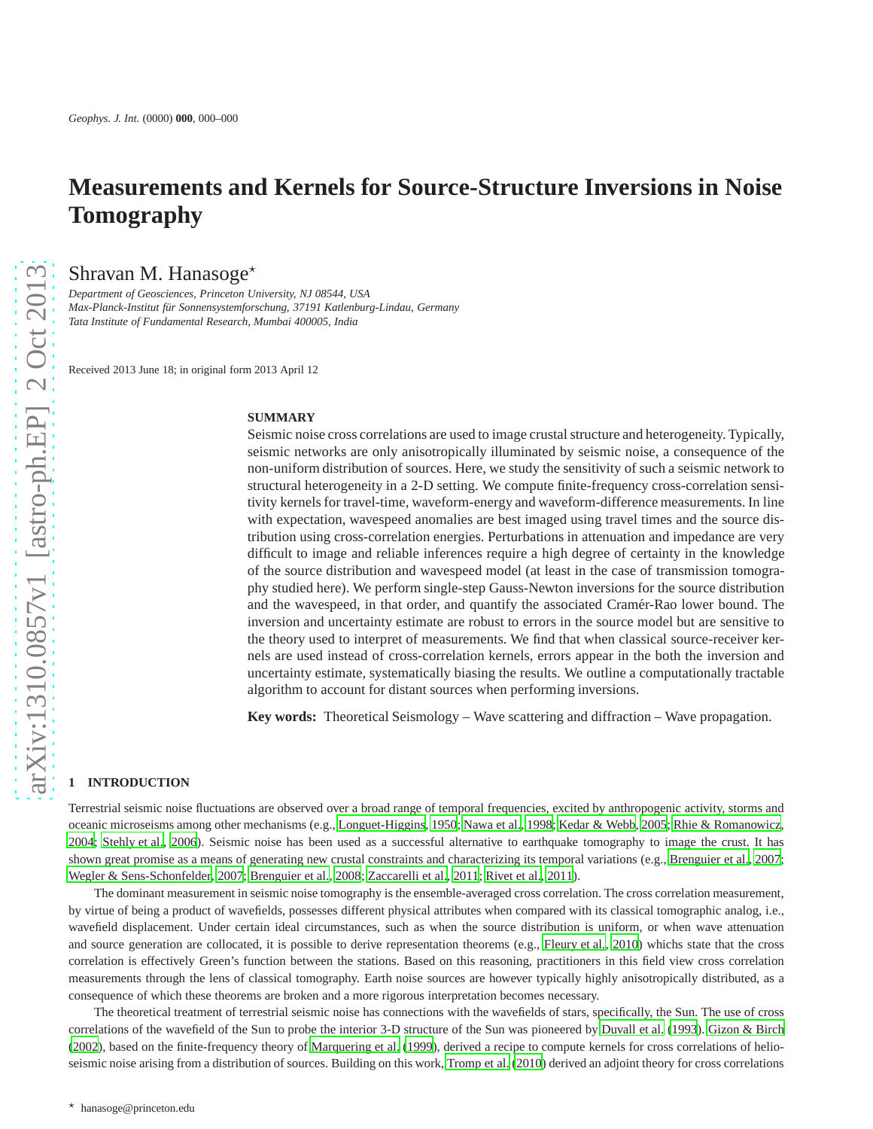# **Measurements and Kernels for Source-Structure Inversions in Noise Tomography**

Shravan M. Hanasoge $\star$ 

*Department of Geosciences, Princeton University, NJ 08544, USA Max-Planck-Institut f¨ur Sonnensystemforschung, 37191 Katlenburg-Lindau, Germany Tata Institute of Fundamental Research, Mumbai 400005, India*

Received 2013 June 18; in original form 2013 April 12

#### **SUMMARY**

Seismic noise cross correlations are used to image crustal structure and heterogeneity. Typically, seismic networks are only anisotropically illuminated by seismic noise, a consequence of the non-uniform distribution of sources. Here, we study the sensitivity of such a seismic network to structural heterogeneity in a 2-D setting. We compute finite-frequency cross-correlation sensitivity kernels for travel-time, waveform-energy and waveform-difference measurements. In line with expectation, wavespeed anomalies are best imaged using travel times and the source distribution using cross-correlation energies. Perturbations in attenuation and impedance are very difficult to image and reliable inferences require a high degree of certainty in the knowledge of the source distribution and wavespeed model (at least in the case of transmission tomography studied here). We perform single-step Gauss-Newton inversions for the source distribution and the wavespeed, in that order, and quantify the associated Cramér-Rao lower bound. The inversion and uncertainty estimate are robust to errors in the source model but are sensitive to the theory used to interpret of measurements. We find that when classical source-receiver kernels are used instead of cross-correlation kernels, errors appear in the both the inversion and uncertainty estimate, systematically biasing the results. We outline a computationally tractable algorithm to account for distant sources when performing inversions.

**Key words:** Theoretical Seismology – Wave scattering and diffraction – Wave propagation.

## **1 INTRODUCTION**

Terrestrial seismic noise fluctuations are observed over a broad range of temporal frequencies, excited by anthropogenic activity, storms and oceanic microseisms among other mechanisms (e.g., [Longuet-Higgins](#page-11-0), [1950;](#page-11-0) [Nawa et al., 1998](#page-11-1); [Kedar & Webb, 2005;](#page-10-0) [Rhie & Romanowicz,](#page-11-2) [2004](#page-11-2); [Stehly et al., 2006](#page-12-0)). Seismic noise has been used as a successful alternative to earthquake tomography to image the crust. It has shown great promise as a means of generating new crustal constraints and characterizing its temporal variations (e.g., [Brenguier et al.](#page-9-0), [2007;](#page-9-0) [Wegler & Sens-Schonfelder](#page-12-1), [2007;](#page-12-1) [Brenguier et al.](#page-9-1), [2008](#page-9-1); [Zaccarelli et al., 2011](#page-13-0); [Rivet et al., 2011\)](#page-12-2).

The dominant measurement in seismic noise tomography is the ensemble-averaged cross correlation. The cross correlation measurement, by virtue of being a product of wavefields, possesses different physical attributes when compared with its classical tomographic analog, i.e., wavefield displacement. Under certain ideal circumstances, such as when the source distribution is uniform, or when wave attenuation and source generation are collocated, it is possible to derive representation theorems (e.g., [Fleury et al., 2010\)](#page-10-1) whichs state that the cross correlation is effectively Green's function between the stations. Based on this reasoning, practitioners in this field view cross correlation measurements through the lens of classical tomography. Earth noise sources are however typically highly anisotropically distributed, as a consequence of which these theorems are broken and a more rigorous interpretation becomes necessary.

The theoretical treatment of terrestrial seismic noise has connections with the wavefields of stars, specifically, the Sun. The use of cross correlations of the wavefield of the Sun to probe the interior 3-D structure of the Sun was pioneered by [Duvall et al. \(1993](#page-10-2)). [Gizon & Birch](#page-10-3) [\(2002](#page-10-3)), based on the finite-frequency theory of [Marquering et al.](#page-11-3) [\(1999](#page-11-3)), derived a recipe to compute kernels for cross correlations of helioseismic noise arising from a distribution of sources. Building on this work, [Tromp et al. \(2010](#page-12-3)) derived an adjoint theory for cross correlations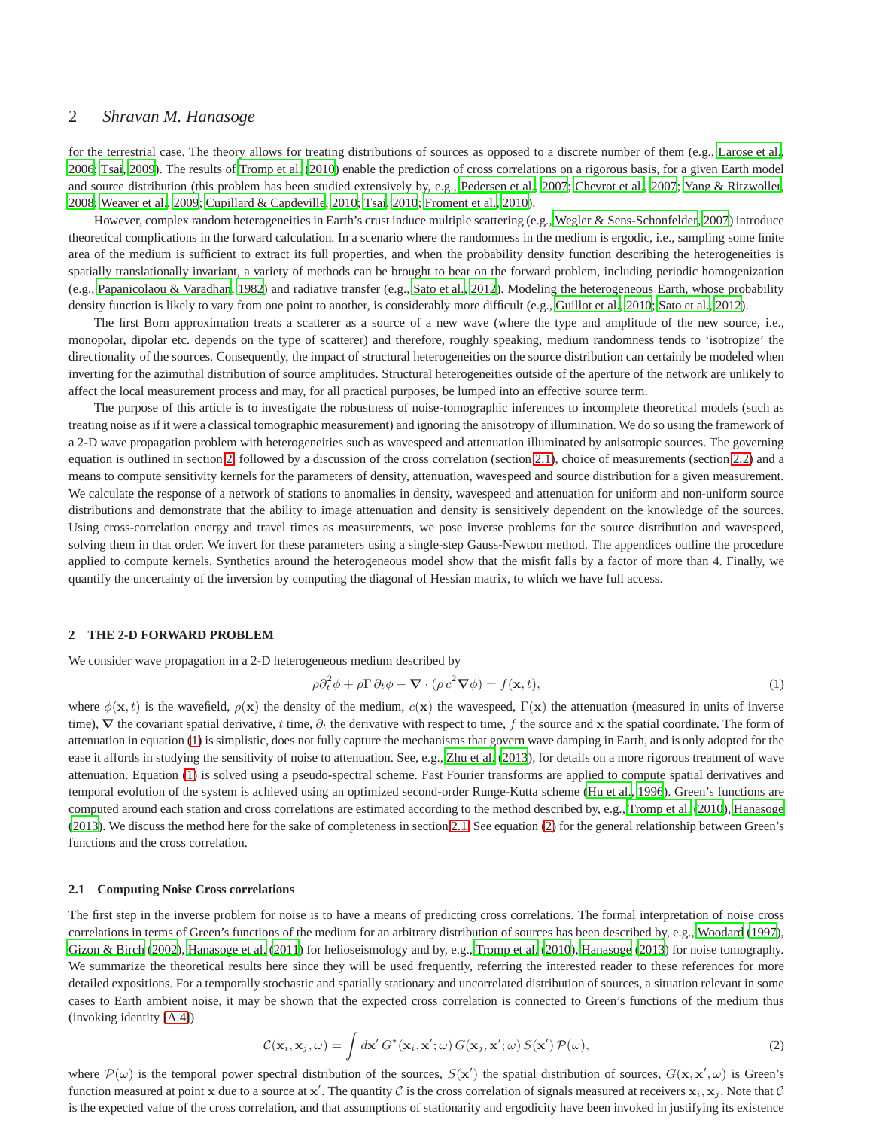# 2 *Shravan M. Hanasoge*

for the terrestrial case. The theory allows for treating distributions of sources as opposed to a discrete number of them (e.g., [Larose et al.,](#page-10-4) [2006](#page-10-4); [Tsai](#page-12-4), [2009\)](#page-12-4). The results of [Tromp et al. \(2010\)](#page-12-3) enable the prediction of cross correlations on a rigorous basis, for a given Earth model and source distribution (this problem has been studied extensively by, e.g., [Pedersen et al.](#page-11-4), [2007](#page-11-4); [Chevrot et al., 2007;](#page-9-2) [Yang & Ritzwoller,](#page-13-1) [2008;](#page-13-1) [Weaver et al.](#page-12-5), [2009;](#page-12-5) [Cupillard & Capdeville](#page-9-3), [2010;](#page-9-3) [Tsai, 2010](#page-12-6); [Froment et al.](#page-10-5), [2010](#page-10-5)).

However, complex random heterogeneities in Earth's crust induce multiple scattering (e.g., [Wegler & Sens-Schonfelder](#page-12-1), [2007](#page-12-1)) introduce theoretical complications in the forward calculation. In a scenario where the randomness in the medium is ergodic, i.e., sampling some finite area of the medium is sufficient to extract its full properties, and when the probability density function describing the heterogeneities is spatially translationally invariant, a variety of methods can be brought to bear on the forward problem, including periodic homogenization (e.g., [Papanicolaou & Varadhan](#page-11-5), [1982\)](#page-11-5) and radiative transfer (e.g., [Sato et al., 2012](#page-12-7)). Modeling the heterogeneous Earth, whose probability density function is likely to vary from one point to another, is considerably more difficult (e.g., [Guillot et al., 2010](#page-10-6); [Sato et al., 2012](#page-12-7)).

The first Born approximation treats a scatterer as a source of a new wave (where the type and amplitude of the new source, i.e., monopolar, dipolar etc. depends on the type of scatterer) and therefore, roughly speaking, medium randomness tends to 'isotropize' the directionality of the sources. Consequently, the impact of structural heterogeneities on the source distribution can certainly be modeled when inverting for the azimuthal distribution of source amplitudes. Structural heterogeneities outside of the aperture of the network are unlikely to affect the local measurement process and may, for all practical purposes, be lumped into an effective source term.

The purpose of this article is to investigate the robustness of noise-tomographic inferences to incomplete theoretical models (such as treating noise as if it were a classical tomographic measurement) and ignoring the anisotropy of illumination. We do so using the framework of a 2-D wave propagation problem with heterogeneities such as wavespeed and attenuation illuminated by anisotropic sources. The governing equation is outlined in section [2,](#page-1-0) followed by a discussion of the cross correlation (section [2.1\)](#page-1-1), choice of measurements (section [2.2\)](#page-2-0) and a means to compute sensitivity kernels for the parameters of density, attenuation, wavespeed and source distribution for a given measurement. We calculate the response of a network of stations to anomalies in density, wavespeed and attenuation for uniform and non-uniform source distributions and demonstrate that the ability to image attenuation and density is sensitively dependent on the knowledge of the sources. Using cross-correlation energy and travel times as measurements, we pose inverse problems for the source distribution and wavespeed, solving them in that order. We invert for these parameters using a single-step Gauss-Newton method. The appendices outline the procedure applied to compute kernels. Synthetics around the heterogeneous model show that the misfit falls by a factor of more than 4. Finally, we quantify the uncertainty of the inversion by computing the diagonal of Hessian matrix, to which we have full access.

#### <span id="page-1-0"></span>**2 THE 2-D FORWARD PROBLEM**

We consider wave propagation in a 2-D heterogeneous medium described by

<span id="page-1-2"></span>
$$
\rho \partial_t^2 \phi + \rho \Gamma \partial_t \phi - \nabla \cdot (\rho c^2 \nabla \phi) = f(\mathbf{x}, t), \tag{1}
$$

where  $\phi(\mathbf{x}, t)$  is the wavefield,  $\rho(\mathbf{x})$  the density of the medium,  $c(\mathbf{x})$  the wavespeed,  $\Gamma(\mathbf{x})$  the attenuation (measured in units of inverse time),  $\nabla$  the covariant spatial derivative, t time,  $\partial_t$  the derivative with respect to time, f the source and x the spatial coordinate. The form of attenuation in equation [\(1\)](#page-1-2) is simplistic, does not fully capture the mechanisms that govern wave damping in Earth, and is only adopted for the ease it affords in studying the sensitivity of noise to attenuation. See, e.g., [Zhu et al.](#page-14-0) [\(2013](#page-14-0)), for details on a more rigorous treatment of wave attenuation. Equation [\(1\)](#page-1-2) is solved using a pseudo-spectral scheme. Fast Fourier transforms are applied to compute spatial derivatives and temporal evolution of the system is achieved using an optimized second-order Runge-Kutta scheme [\(Hu et al., 1996](#page-10-7)). Green's functions are computed around each station and cross correlations are estimated according to the method described by, e.g., [Tromp et al.](#page-12-3) [\(2010](#page-12-3)), [Hanasoge](#page-10-8) [\(2013\)](#page-10-8). We discuss the method here for the sake of completeness in section [2.1.](#page-1-1) See equation [\(2\)](#page-1-3) for the general relationship between Green's functions and the cross correlation.

#### <span id="page-1-1"></span>**2.1 Computing Noise Cross correlations**

The first step in the inverse problem for noise is to have a means of predicting cross correlations. The formal interpretation of noise cross correlations in terms of Green's functions of the medium for an arbitrary distribution of sources has been described by, e.g., [Woodard \(1997\)](#page-13-2), [Gizon & Birch](#page-10-3) [\(2002](#page-10-3)), [Hanasoge et al. \(2011\)](#page-10-9) for helioseismology and by, e.g., [Tromp et al.](#page-12-3) [\(2010](#page-12-3)), [Hanasoge](#page-10-8) [\(2013](#page-10-8)) for noise tomography. We summarize the theoretical results here since they will be used frequently, referring the interested reader to these references for more detailed expositions. For a temporally stochastic and spatially stationary and uncorrelated distribution of sources, a situation relevant in some cases to Earth ambient noise, it may be shown that the expected cross correlation is connected to Green's functions of the medium thus (invoking identity [\[A.4\]](#page-14-1))

<span id="page-1-3"></span>
$$
\mathcal{C}(\mathbf{x}_i, \mathbf{x}_j, \omega) = \int d\mathbf{x}' \, G^*(\mathbf{x}_i, \mathbf{x}'; \omega) \, G(\mathbf{x}_j, \mathbf{x}'; \omega) \, S(\mathbf{x}') \, \mathcal{P}(\omega), \tag{2}
$$

where  $\mathcal{P}(\omega)$  is the temporal power spectral distribution of the sources,  $S(\mathbf{x}')$  the spatial distribution of sources,  $G(\mathbf{x}, \mathbf{x}', \omega)$  is Green's function measured at point x due to a source at  $x'$ . The quantity C is the cross correlation of signals measured at receivers  $x_i, x_j$ . Note that C is the expected value of the cross correlation, and that assumptions of stationarity and ergodicity have been invoked in justifying its existence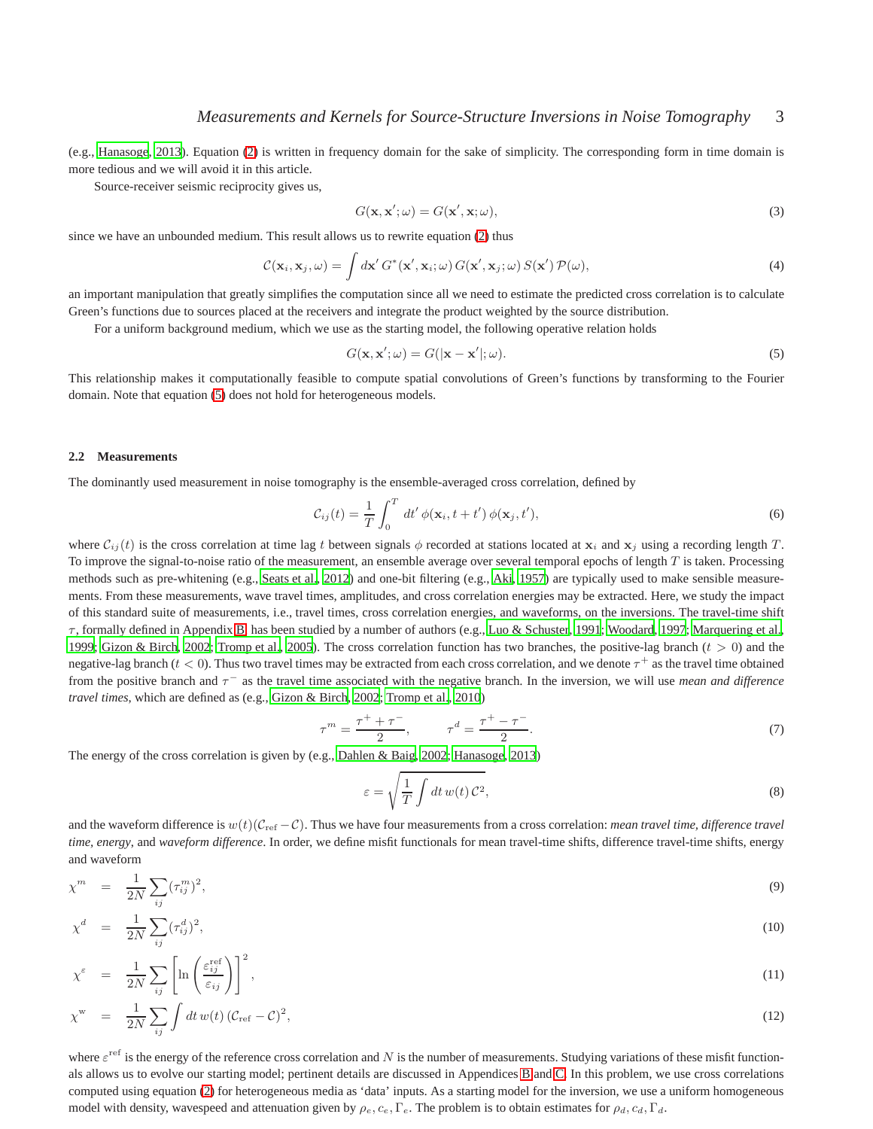(e.g., [Hanasoge](#page-10-8), [2013](#page-10-8)). Equation [\(2\)](#page-1-3) is written in frequency domain for the sake of simplicity. The corresponding form in time domain is more tedious and we will avoid it in this article.

Source-receiver seismic reciprocity gives us,

$$
G(\mathbf{x}, \mathbf{x}'; \omega) = G(\mathbf{x}', \mathbf{x}; \omega),\tag{3}
$$

since we have an unbounded medium. This result allows us to rewrite equation [\(2\)](#page-1-3) thus

$$
\mathcal{C}(\mathbf{x}_i, \mathbf{x}_j, \omega) = \int d\mathbf{x}' \, G^*(\mathbf{x}', \mathbf{x}_i; \omega) \, G(\mathbf{x}', \mathbf{x}_j; \omega) \, S(\mathbf{x}') \, \mathcal{P}(\omega), \tag{4}
$$

an important manipulation that greatly simplifies the computation since all we need to estimate the predicted cross correlation is to calculate Green's functions due to sources placed at the receivers and integrate the product weighted by the source distribution.

For a uniform background medium, which we use as the starting model, the following operative relation holds

<span id="page-2-1"></span>
$$
G(\mathbf{x}, \mathbf{x}'; \omega) = G(|\mathbf{x} - \mathbf{x}'|; \omega).
$$
\n(5)

This relationship makes it computationally feasible to compute spatial convolutions of Green's functions by transforming to the Fourier domain. Note that equation [\(5\)](#page-2-1) does not hold for heterogeneous models.

#### <span id="page-2-0"></span>**2.2 Measurements**

The dominantly used measurement in noise tomography is the ensemble-averaged cross correlation, defined by

$$
\mathcal{C}_{ij}(t) = \frac{1}{T} \int_0^T dt' \phi(\mathbf{x}_i, t + t') \phi(\mathbf{x}_j, t'), \tag{6}
$$

where  $C_{ij}(t)$  is the cross correlation at time lag t between signals  $\phi$  recorded at stations located at  $x_i$  and  $x_j$  using a recording length T. To improve the signal-to-noise ratio of the measurement, an ensemble average over several temporal epochs of length  $T$  is taken. Processing methods such as pre-whitening (e.g., [Seats et al.](#page-12-8), [2012](#page-12-8)) and one-bit filtering (e.g., [Aki, 1957](#page-9-4)) are typically used to make sensible measurements. From these measurements, wave travel times, amplitudes, and cross correlation energies may be extracted. Here, we study the impact of this standard suite of measurements, i.e., travel times, cross correlation energies, and waveforms, on the inversions. The travel-time shift  $\tau$ , formally defined in Appendix [B,](#page-14-2) has been studied by a number of authors (e.g., [Luo & Schuster](#page-11-6), [1991;](#page-11-6) [Woodard](#page-13-2), [1997](#page-13-2); [Marquering et al.,](#page-11-3) [1999](#page-11-3); [Gizon & Birch, 2002](#page-10-3); [Tromp et al., 2005](#page-12-9)). The cross correlation function has two branches, the positive-lag branch ( $t > 0$ ) and the negative-lag branch ( $t < 0$ ). Thus two travel times may be extracted from each cross correlation, and we denote  $\tau^+$  as the travel time obtained from the positive branch and  $\tau^-$  as the travel time associated with the negative branch. In the inversion, we will use *mean and difference travel times*, which are defined as (e.g., [Gizon & Birch, 2002](#page-10-3); [Tromp et al.,](#page-12-3) [2010](#page-12-3))

<span id="page-2-2"></span>
$$
\tau^m = \frac{\tau^+ + \tau^-}{2}, \qquad \tau^d = \frac{\tau^+ - \tau^-}{2}.
$$
\n(7)

The energy of the cross correlation is given by (e.g., [Dahlen](#page-10-10) & Baig, [2002;](#page-10-10) [Hanasoge, 2013](#page-10-8))

$$
\varepsilon = \sqrt{\frac{1}{T} \int dt \, w(t) \, C^2},\tag{8}
$$

and the waveform difference is  $w(t)(C_{\text{ref}} - C)$ . Thus we have four measurements from a cross correlation: *mean travel time, difference travel time, energy*, and *waveform difference*. In order, we define misfit functionals for mean travel-time shifts, difference travel-time shifts, energy and waveform

<span id="page-2-3"></span>
$$
\chi^m = \frac{1}{2N} \sum_{ij} (\tau_{ij}^m)^2, \tag{9}
$$

$$
\chi^d = \frac{1}{2N} \sum_{ij} (\tau_{ij}^d)^2,\tag{10}
$$

$$
\chi^{\varepsilon} = \frac{1}{2N} \sum_{ij} \left[ \ln \left( \frac{\varepsilon_{ij}^{\text{ref}}}{\varepsilon_{ij}} \right) \right]^2,\tag{11}
$$

$$
\chi^{\mathbf{w}} = \frac{1}{2N} \sum_{ij} \int dt \, w(t) \left( \mathcal{C}_{\text{ref}} - \mathcal{C} \right)^2,\tag{12}
$$

where  $\varepsilon^{\text{ref}}$  is the energy of the reference cross correlation and N is the number of measurements. Studying variations of these misfit functionals allows us to evolve our starting model; pertinent details are discussed in Appendices [B](#page-14-2) and [C.](#page-16-0) In this problem, we use cross correlations computed using equation [\(2\)](#page-1-3) for heterogeneous media as 'data' inputs. As a starting model for the inversion, we use a uniform homogeneous model with density, wavespeed and attenuation given by  $\rho_e, c_e, \Gamma_e$ . The problem is to obtain estimates for  $\rho_d, c_d, \Gamma_d$ .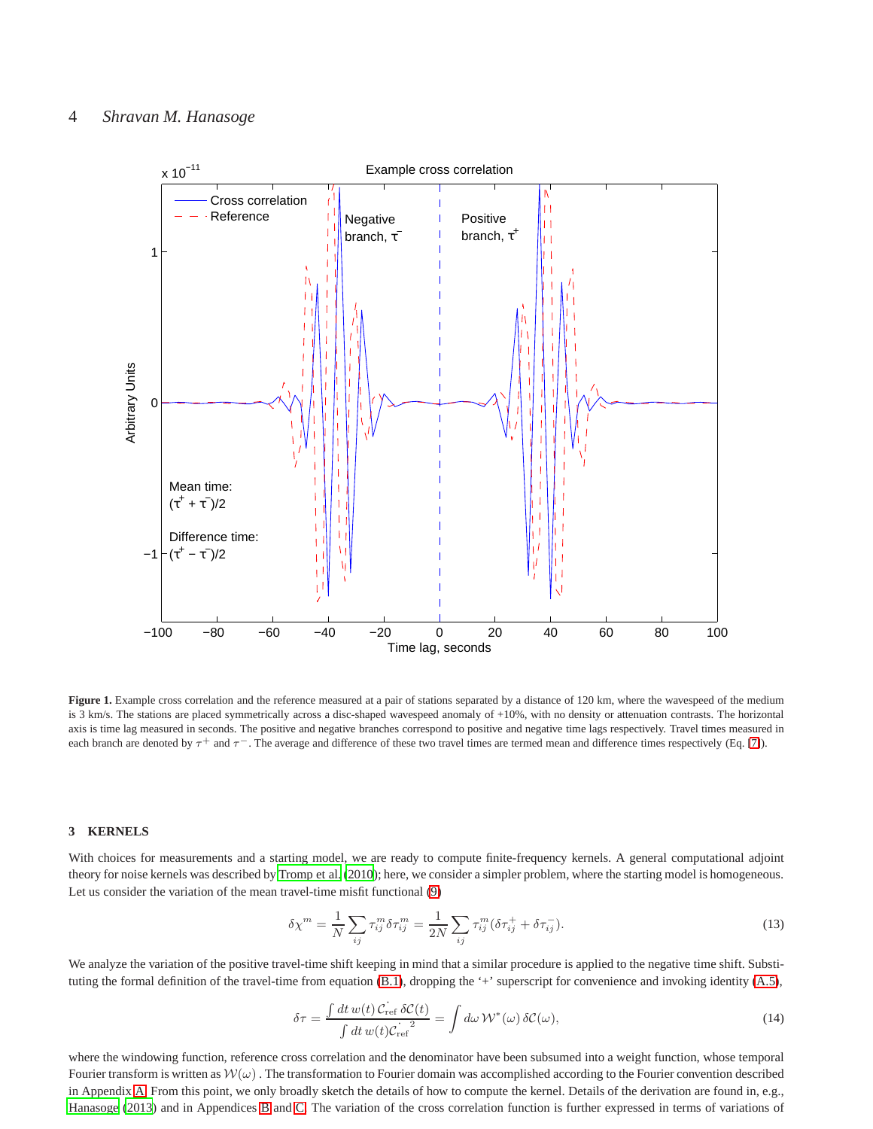

**Figure 1.** Example cross correlation and the reference measured at a pair of stations separated by a distance of 120 km, where the wavespeed of the medium is 3 km/s. The stations are placed symmetrically across a disc-shaped wavespeed anomaly of +10%, with no density or attenuation contrasts. The horizontal axis is time lag measured in seconds. The positive and negative branches correspond to positive and negative time lags respectively. Travel times measured in each branch are denoted by  $\tau^+$  and  $\tau^-$ . The average and difference of these two travel times are termed mean and difference times respectively (Eq. [\[7\]](#page-2-2)).

### **3 KERNELS**

With choices for measurements and a starting model, we are ready to compute finite-frequency kernels. A general computational adjoint theory for noise kernels was described by [Tromp et al. \(2010](#page-12-3)); here, we consider a simpler problem, where the starting model is homogeneous. Let us consider the variation of the mean travel-time misfit functional [\(9\)](#page-2-3)

$$
\delta \chi^{m} = \frac{1}{N} \sum_{ij} \tau_{ij}^{m} \delta \tau_{ij}^{m} = \frac{1}{2N} \sum_{ij} \tau_{ij}^{m} (\delta \tau_{ij}^{+} + \delta \tau_{ij}^{-}).
$$
\n(13)

We analyze the variation of the positive travel-time shift keeping in mind that a similar procedure is applied to the negative time shift. Substituting the formal definition of the travel-time from equation [\(B.1\)](#page-14-3), dropping the '+' superscript for convenience and invoking identity [\(A.5\)](#page-14-4),

<span id="page-3-0"></span>
$$
\delta \tau = \frac{\int dt \, w(t) \, C_{\text{ref}} \, \delta \mathcal{C}(t)}{\int dt \, w(t) C_{\text{ref}}^2} = \int d\omega \, \mathcal{W}^*(\omega) \, \delta \mathcal{C}(\omega),\tag{14}
$$

where the windowing function, reference cross correlation and the denominator have been subsumed into a weight function, whose temporal Fourier transform is written as  $W(\omega)$ . The transformation to Fourier domain was accomplished according to the Fourier convention described in Appendix [A.](#page-14-5) From this point, we only broadly sketch the details of how to compute the kernel. Details of the derivation are found in, e.g., [Hanasoge \(2013](#page-10-8)) and in Appendices [B](#page-14-2) and [C.](#page-16-0) The variation of the cross correlation function is further expressed in terms of variations of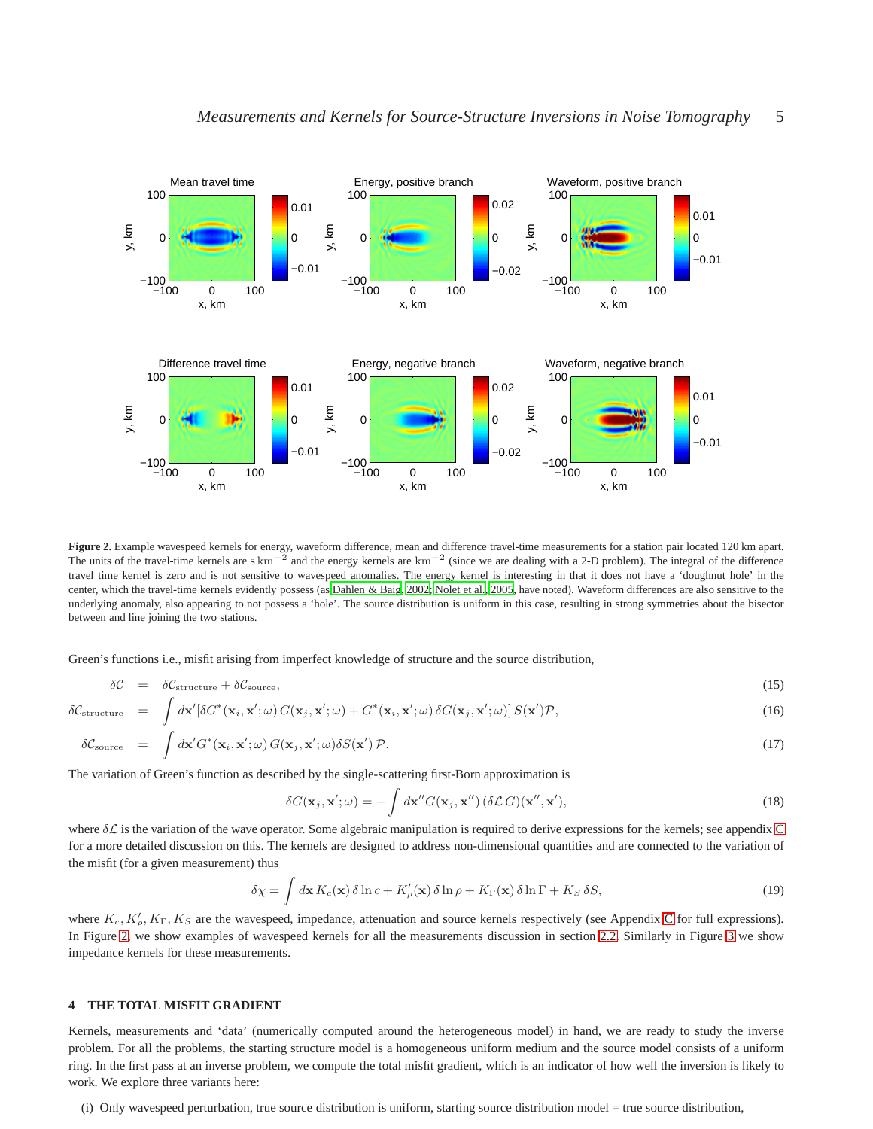

<span id="page-4-0"></span>Figure 2. Example wavespeed kernels for energy, waveform difference, mean and difference travel-time measurements for a station pair located 120 km apart. The units of the travel-time kernels are  $\text{skm}^{-2}$  and the energy kernels are  $\text{km}^{-2}$  (since we are dealing with a 2-D problem). The integral of the difference travel time kernel is zero and is not sensitive to wavespeed anomalies. The energy kernel is interesting in that it does not have a 'doughnut hole' in the center, which the travel-time kernels evidently possess (as [Dahlen & Baig](#page-10-10), [2002](#page-10-10); [Nolet et al.](#page-11-7), [2005](#page-11-7), have noted). Waveform differences are also sensitive to the underlying anomaly, also appearing to not possess a 'hole'. The source distribution is uniform in this case, resulting in strong symmetries about the bisector between and line joining the two stations.

Green's functions i.e., misfit arising from imperfect knowledge of structure and the source distribution,

<span id="page-4-2"></span>
$$
\delta \mathcal{C} = \delta \mathcal{C}_{structure} + \delta \mathcal{C}_{source}, \tag{15}
$$

$$
\delta \mathcal{C}_{\text{structure}} = \int d\mathbf{x}' [\delta G^*(\mathbf{x}_i, \mathbf{x}'; \omega) G(\mathbf{x}_j, \mathbf{x}'; \omega) + G^*(\mathbf{x}_i, \mathbf{x}'; \omega) \delta G(\mathbf{x}_j, \mathbf{x}'; \omega)] S(\mathbf{x}') \mathcal{P}, \tag{16}
$$

$$
\delta \mathcal{C}_{\text{source}} = \int d\mathbf{x}' G^*(\mathbf{x}_i, \mathbf{x}'; \omega) G(\mathbf{x}_j, \mathbf{x}'; \omega) \delta S(\mathbf{x}') \mathcal{P}. \tag{17}
$$

The variation of Green's function as described by the single-scattering first-Born approximation is

$$
\delta G(\mathbf{x}_j, \mathbf{x}'; \omega) = -\int d\mathbf{x}'' G(\mathbf{x}_j, \mathbf{x}'') (\delta \mathcal{L} G)(\mathbf{x}'', \mathbf{x}'), \qquad (18)
$$

where  $\delta \mathcal{L}$  is the variation of the wave operator. Some algebraic manipulation is required to derive expressions for the kernels; see appendix [C](#page-16-0) for a more detailed discussion on this. The kernels are designed to address non-dimensional quantities and are connected to the variation of the misfit (for a given measurement) thus

$$
\delta \chi = \int d\mathbf{x} \, K_c(\mathbf{x}) \, \delta \ln c + K'_{\rho}(\mathbf{x}) \, \delta \ln \rho + K_{\Gamma}(\mathbf{x}) \, \delta \ln \Gamma + K_S \, \delta S,\tag{19}
$$

where  $K_c, K'_\rho, K_\Gamma, K_S$  are the wavespeed, impedance, attenuation and source kernels respectively (see Appendix [C](#page-16-0) for full expressions). In Figure [2,](#page-4-0) we show examples of wavespeed kernels for all the measurements discussion in section [2.2.](#page-2-0) Similarly in Figure [3](#page-5-0) we show impedance kernels for these measurements.

## <span id="page-4-1"></span>**4 THE TOTAL MISFIT GRADIENT**

Kernels, measurements and 'data' (numerically computed around the heterogeneous model) in hand, we are ready to study the inverse problem. For all the problems, the starting structure model is a homogeneous uniform medium and the source model consists of a uniform ring. In the first pass at an inverse problem, we compute the total misfit gradient, which is an indicator of how well the inversion is likely to work. We explore three variants here:

(i) Only wavespeed perturbation, true source distribution is uniform, starting source distribution model = true source distribution,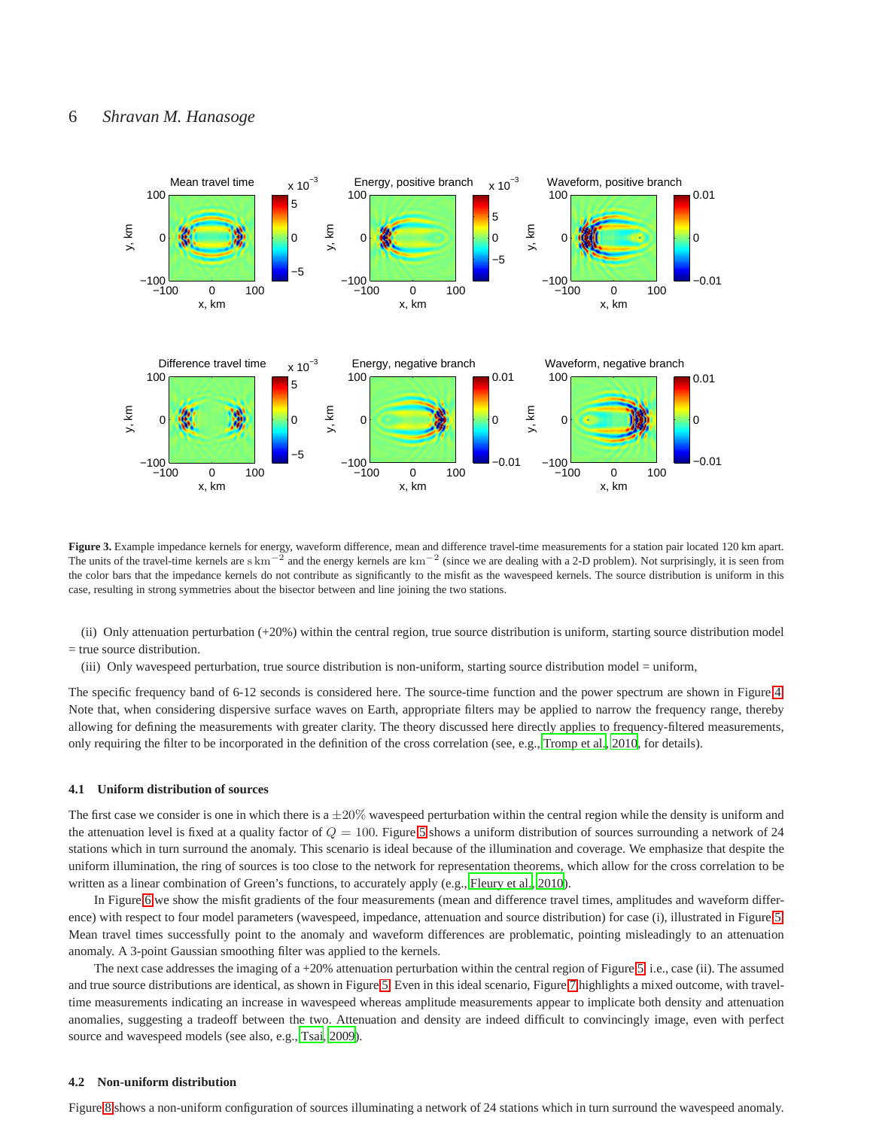

<span id="page-5-0"></span>**Figure 3.** Example impedance kernels for energy, waveform difference, mean and difference travel-time measurements for a station pair located 120 km apart. The units of the travel-time kernels are s km<sup> $-2$ </sup> and the energy kernels are km<sup>-2</sup> (since we are dealing with a 2-D problem). Not surprisingly, it is seen from the color bars that the impedance kernels do not contribute as significantly to the misfit as the wavespeed kernels. The source distribution is uniform in this case, resulting in strong symmetries about the bisector between and line joining the two stations.

(ii) Only attenuation perturbation (+20%) within the central region, true source distribution is uniform, starting source distribution model = true source distribution.

(iii) Only wavespeed perturbation, true source distribution is non-uniform, starting source distribution model = uniform,

The specific frequency band of 6-12 seconds is considered here. The source-time function and the power spectrum are shown in Figure [4.](#page-6-0) Note that, when considering dispersive surface waves on Earth, appropriate filters may be applied to narrow the frequency range, thereby allowing for defining the measurements with greater clarity. The theory discussed here directly applies to frequency-filtered measurements, only requiring the filter to be incorporated in the definition of the cross correlation (see, e.g., [Tromp et al.](#page-12-3), [2010](#page-12-3), for details).

#### **4.1 Uniform distribution of sources**

The first case we consider is one in which there is a  $\pm 20\%$  wavespeed perturbation within the central region while the density is uniform and the attenuation level is fixed at a quality factor of  $Q = 100$ . Figure [5](#page-7-0) shows a uniform distribution of sources surrounding a network of 24 stations which in turn surround the anomaly. This scenario is ideal because of the illumination and coverage. We emphasize that despite the uniform illumination, the ring of sources is too close to the network for representation theorems, which allow for the cross correlation to be written as a linear combination of Green's functions, to accurately apply (e.g., [Fleury et al.](#page-10-1), [2010](#page-10-1)).

In Figure [6](#page-8-0) we show the misfit gradients of the four measurements (mean and difference travel times, amplitudes and waveform difference) with respect to four model parameters (wavespeed, impedance, attenuation and source distribution) for case (i), illustrated in Figure [5.](#page-7-0) Mean travel times successfully point to the anomaly and waveform differences are problematic, pointing misleadingly to an attenuation anomaly. A 3-point Gaussian smoothing filter was applied to the kernels.

The next case addresses the imaging of a +20% attenuation perturbation within the central region of Figure [5,](#page-7-0) i.e., case (ii). The assumed and true source distributions are identical, as shown in Figure [5.](#page-7-0) Even in this ideal scenario, Figure [7](#page-9-5) highlights a mixed outcome, with traveltime measurements indicating an increase in wavespeed whereas amplitude measurements appear to implicate both density and attenuation anomalies, suggesting a tradeoff between the two. Attenuation and density are indeed difficult to convincingly image, even with perfect source and wavespeed models (see also, e.g., [Tsai, 2009](#page-12-4)).

#### **4.2 Non-uniform distribution**

Figure [8](#page-10-11) shows a non-uniform configuration of sources illuminating a network of 24 stations which in turn surround the wavespeed anomaly.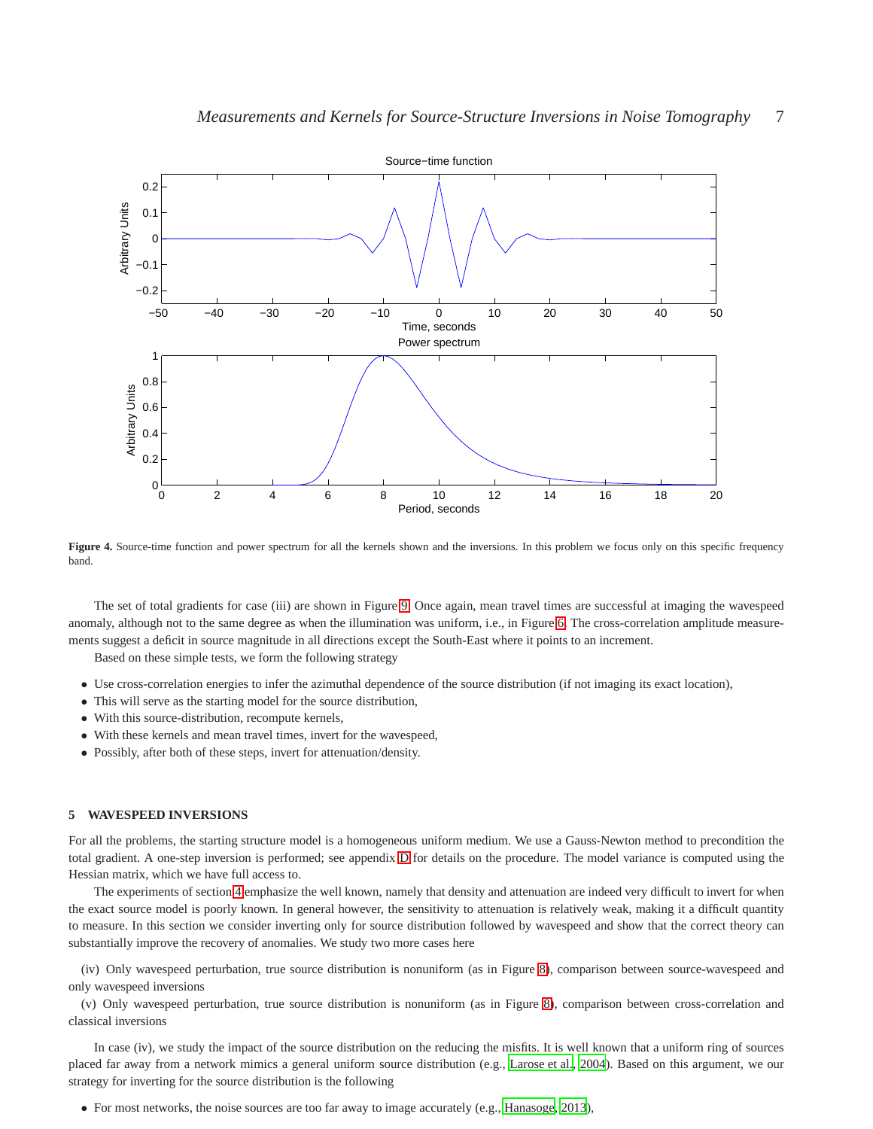

<span id="page-6-0"></span>Figure 4. Source-time function and power spectrum for all the kernels shown and the inversions. In this problem we focus only on this specific frequency band.

The set of total gradients for case (iii) are shown in Figure [9.](#page-11-8) Once again, mean travel times are successful at imaging the wavespeed anomaly, although not to the same degree as when the illumination was uniform, i.e., in Figure [6.](#page-8-0) The cross-correlation amplitude measurements suggest a deficit in source magnitude in all directions except the South-East where it points to an increment.

Based on these simple tests, we form the following strategy

- Use cross-correlation energies to infer the azimuthal dependence of the source distribution (if not imaging its exact location),
- This will serve as the starting model for the source distribution,
- With this source-distribution, recompute kernels,
- With these kernels and mean travel times, invert for the wavespeed,
- Possibly, after both of these steps, invert for attenuation/density.

## **5 WAVESPEED INVERSIONS**

For all the problems, the starting structure model is a homogeneous uniform medium. We use a Gauss-Newton method to precondition the total gradient. A one-step inversion is performed; see appendix [D](#page-17-0) for details on the procedure. The model variance is computed using the Hessian matrix, which we have full access to.

The experiments of section [4](#page-4-1) emphasize the well known, namely that density and attenuation are indeed very difficult to invert for when the exact source model is poorly known. In general however, the sensitivity to attenuation is relatively weak, making it a difficult quantity to measure. In this section we consider inverting only for source distribution followed by wavespeed and show that the correct theory can substantially improve the recovery of anomalies. We study two more cases here

(iv) Only wavespeed perturbation, true source distribution is nonuniform (as in Figure [8\)](#page-10-11), comparison between source-wavespeed and only wavespeed inversions

(v) Only wavespeed perturbation, true source distribution is nonuniform (as in Figure [8\)](#page-10-11), comparison between cross-correlation and classical inversions

In case (iv), we study the impact of the source distribution on the reducing the misfits. It is well known that a uniform ring of sources placed far away from a network mimics a general uniform source distribution (e.g., [Larose et al., 2004\)](#page-10-12). Based on this argument, we our strategy for inverting for the source distribution is the following

• For most networks, the noise sources are too far away to image accurately (e.g., [Hanasoge](#page-10-8), [2013](#page-10-8)),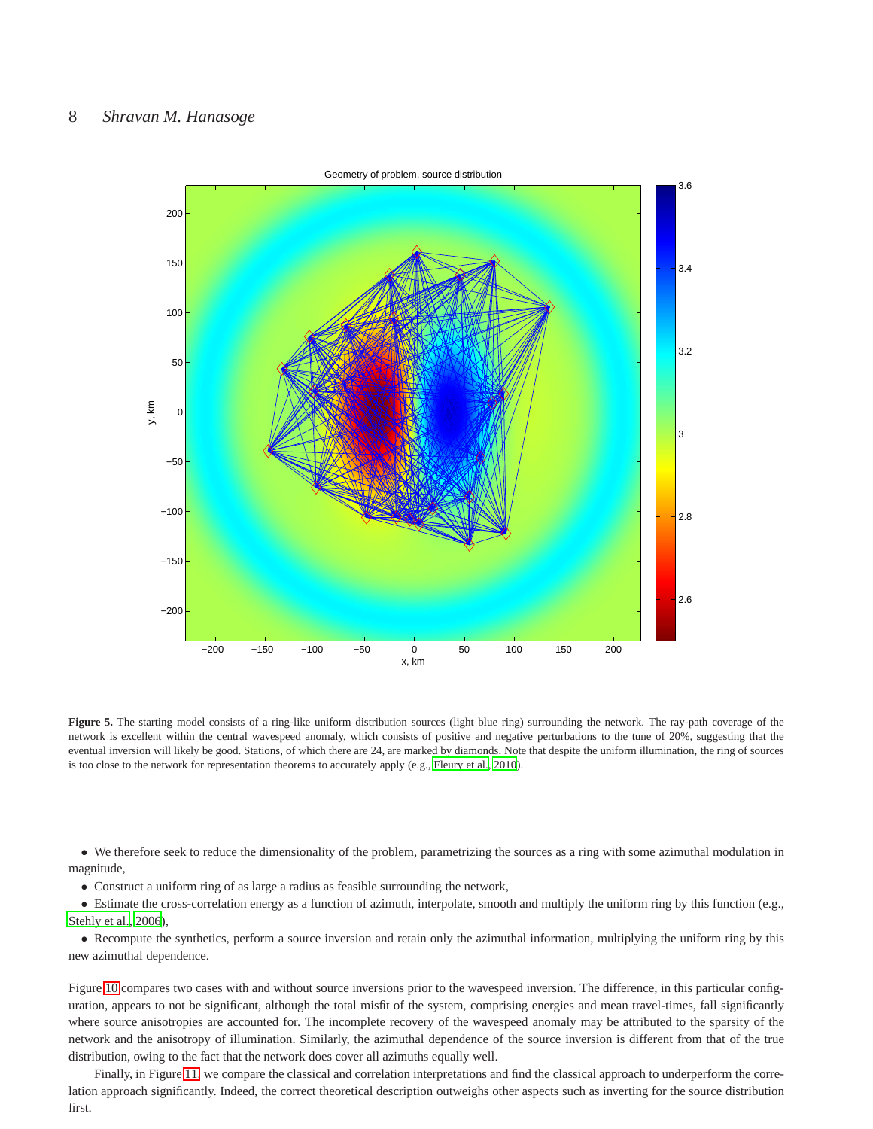# 8 *Shravan M. Hanasoge*



<span id="page-7-0"></span>Figure 5. The starting model consists of a ring-like uniform distribution sources (light blue ring) surrounding the network. The ray-path coverage of the network is excellent within the central wavespeed anomaly, which consists of positive and negative perturbations to the tune of 20%, suggesting that the eventual inversion will likely be good. Stations, of which there are 24, are marked by diamonds. Note that despite the uniform illumination, the ring of sources is too close to the network for representation theorems to accurately apply (e.g., [Fleury et al., 2010](#page-10-1)).

• We therefore seek to reduce the dimensionality of the problem, parametrizing the sources as a ring with some azimuthal modulation in magnitude,

• Construct a uniform ring of as large a radius as feasible surrounding the network,

• Estimate the cross-correlation energy as a function of azimuth, interpolate, smooth and multiply the uniform ring by this function (e.g., [Stehly et al., 2006](#page-12-0)),

• Recompute the synthetics, perform a source inversion and retain only the azimuthal information, multiplying the uniform ring by this new azimuthal dependence.

Figure [10](#page-12-10) compares two cases with and without source inversions prior to the wavespeed inversion. The difference, in this particular configuration, appears to not be significant, although the total misfit of the system, comprising energies and mean travel-times, fall significantly where source anisotropies are accounted for. The incomplete recovery of the wavespeed anomaly may be attributed to the sparsity of the network and the anisotropy of illumination. Similarly, the azimuthal dependence of the source inversion is different from that of the true distribution, owing to the fact that the network does cover all azimuths equally well.

Finally, in Figure [11,](#page-13-3) we compare the classical and correlation interpretations and find the classical approach to underperform the correlation approach significantly. Indeed, the correct theoretical description outweighs other aspects such as inverting for the source distribution first.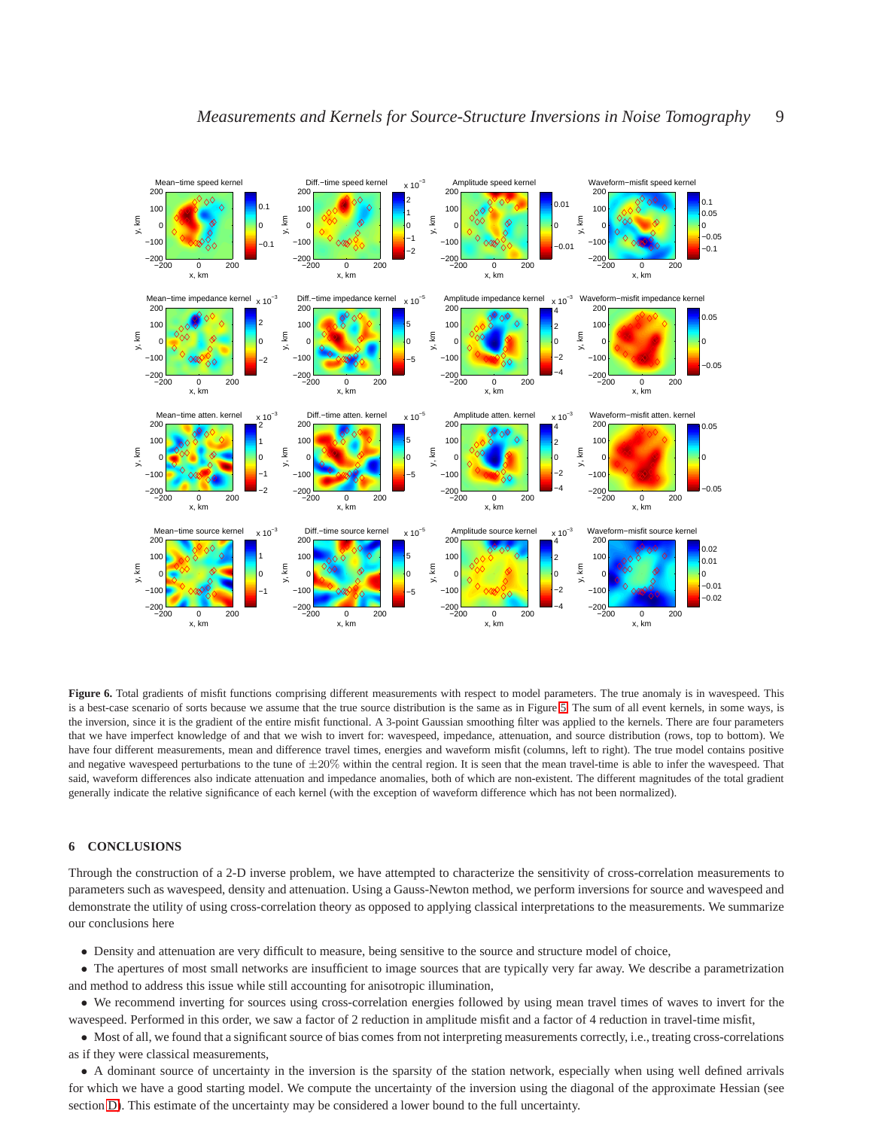

x, km y, km −200 0 200 −200  $-100$ 0 100 −2 0 2 x, km  $\epsilon$ −200 0 200 −200 −100 0 100 −5 0 5 x, km  $\epsilon$ −200 0 200 −200  $-100$ 0 100 −4 −2 0 2 x, km  $\epsilon$ −200 0 200 −200  $-100$ 0 10 −0.05 0 x, km y, km Mean−time atten. kernel −200 0 200 −200 −100 0 100  $200$ −2 −1 0 1 x 10<sup>−3</sup><br>ı2 x, km  $\varepsilon$ Diff.−time atten. kernel −200 0 200 −200 −100 0 100 200 −5 0 5  $10^{-5}$ x, km y, km Amplitude atten. kernel −200 0 200 −200 −100 0 100  $200$ −4 −2 0 2 4 x 10−3 x, km  $\epsilon$ Waveform−misfit atten. kernel −200 0 200 −200  $-100$ 0 100  $200$ −0.05 0  $.05$ x, km y, km Mean−time source kernel −200 0 200 −200 −100 0 100  $200$ −1 0 1  $x 10^{-3}$ x, km  $\epsilon$ Diff.−time source kernel −200 0 200 −200 −100 0 100 200 −5 0 5 x 10−5 x, km y, km Amplitude source kernel −200 0 200 −200 −100 0 100 200 −4 −2 0 2 4 x 10−3 x, km Waveform−misfit source kernel<br>200<br>E 200<br>E 200 −200 0 200 −200 −100 0 10 200 −0.02 −0.01 0 0.01 0.02

<span id="page-8-0"></span>**Figure 6.** Total gradients of misfit functions comprising different measurements with respect to model parameters. The true anomaly is in wavespeed. This is a best-case scenario of sorts because we assume that the true source distribution is the same as in Figure [5.](#page-7-0) The sum of all event kernels, in some ways, is the inversion, since it is the gradient of the entire misfit functional. A 3-point Gaussian smoothing filter was applied to the kernels. There are four parameters that we have imperfect knowledge of and that we wish to invert for: wavespeed, impedance, attenuation, and source distribution (rows, top to bottom). We have four different measurements, mean and difference travel times, energies and waveform misfit (columns, left to right). The true model contains positive and negative wavespeed perturbations to the tune of  $\pm 20\%$  within the central region. It is seen that the mean travel-time is able to infer the wavespeed. That said, waveform differences also indicate attenuation and impedance anomalies, both of which are non-existent. The different magnitudes of the total gradient generally indicate the relative significance of each kernel (with the exception of waveform difference which has not been normalized).

## **6 CONCLUSIONS**

y, km

Through the construction of a 2-D inverse problem, we have attempted to characterize the sensitivity of cross-correlation measurements to parameters such as wavespeed, density and attenuation. Using a Gauss-Newton method, we perform inversions for source and wavespeed and demonstrate the utility of using cross-correlation theory as opposed to applying classical interpretations to the measurements. We summarize our conclusions here

- Density and attenuation are very difficult to measure, being sensitive to the source and structure model of choice,
- The apertures of most small networks are insufficient to image sources that are typically very far away. We describe a parametrization and method to address this issue while still accounting for anisotropic illumination,
- We recommend inverting for sources using cross-correlation energies followed by using mean travel times of waves to invert for the wavespeed. Performed in this order, we saw a factor of 2 reduction in amplitude misfit and a factor of 4 reduction in travel-time misfit,

• Most of all, we found that a significant source of bias comes from not interpreting measurements correctly, i.e., treating cross-correlations as if they were classical measurements,

• A dominant source of uncertainty in the inversion is the sparsity of the station network, especially when using well defined arrivals for which we have a good starting model. We compute the uncertainty of the inversion using the diagonal of the approximate Hessian (see section [D\)](#page-17-0). This estimate of the uncertainty may be considered a lower bound to the full uncertainty.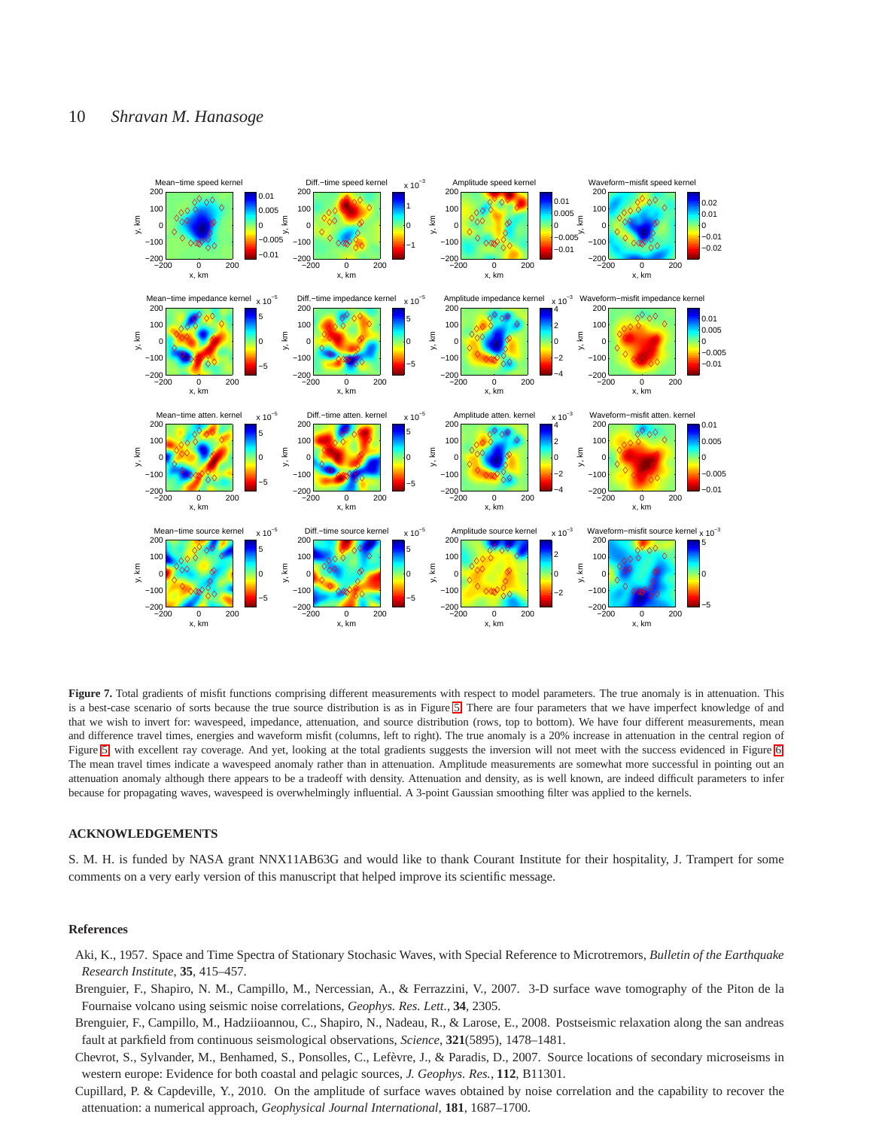

<span id="page-9-5"></span>**Figure 7.** Total gradients of misfit functions comprising different measurements with respect to model parameters. The true anomaly is in attenuation. This is a best-case scenario of sorts because the true source distribution is as in Figure [5.](#page-7-0) There are four parameters that we have imperfect knowledge of and that we wish to invert for: wavespeed, impedance, attenuation, and source distribution (rows, top to bottom). We have four different measurements, mean and difference travel times, energies and waveform misfit (columns, left to right). The true anomaly is a 20% increase in attenuation in the central region of Figure [5,](#page-7-0) with excellent ray coverage. And yet, looking at the total gradients suggests the inversion will not meet with the success evidenced in Figure [6.](#page-8-0) The mean travel times indicate a wavespeed anomaly rather than in attenuation. Amplitude measurements are somewhat more successful in pointing out an attenuation anomaly although there appears to be a tradeoff with density. Attenuation and density, as is well known, are indeed difficult parameters to infer because for propagating waves, wavespeed is overwhelmingly influential. A 3-point Gaussian smoothing filter was applied to the kernels.

## **ACKNOWLEDGEMENTS**

S. M. H. is funded by NASA grant NNX11AB63G and would like to thank Courant Institute for their hospitality, J. Trampert for some comments on a very early version of this manuscript that helped improve its scientific message.

#### **References**

- <span id="page-9-4"></span>Aki, K., 1957. Space and Time Spectra of Stationary Stochasic Waves, with Special Reference to Microtremors, *Bulletin of the Earthquake Research Institute*, **35**, 415–457.
- <span id="page-9-0"></span>Brenguier, F., Shapiro, N. M., Campillo, M., Nercessian, A., & Ferrazzini, V., 2007. 3-D surface wave tomography of the Piton de la Fournaise volcano using seismic noise correlations, *Geophys. Res. Lett.*, **34**, 2305.
- <span id="page-9-1"></span>Brenguier, F., Campillo, M., Hadziioannou, C., Shapiro, N., Nadeau, R., & Larose, E., 2008. Postseismic relaxation along the san andreas fault at parkfield from continuous seismological observations, *Science*, **321**(5895), 1478–1481.
- <span id="page-9-2"></span>Chevrot, S., Sylvander, M., Benhamed, S., Ponsolles, C., Lefèvre, J., & Paradis, D., 2007. Source locations of secondary microseisms in western europe: Evidence for both coastal and pelagic sources, *J. Geophys. Res.*, **112**, B11301.
- <span id="page-9-3"></span>Cupillard, P. & Capdeville, Y., 2010. On the amplitude of surface waves obtained by noise correlation and the capability to recover the attenuation: a numerical approach, *Geophysical Journal International*, **181**, 1687–1700.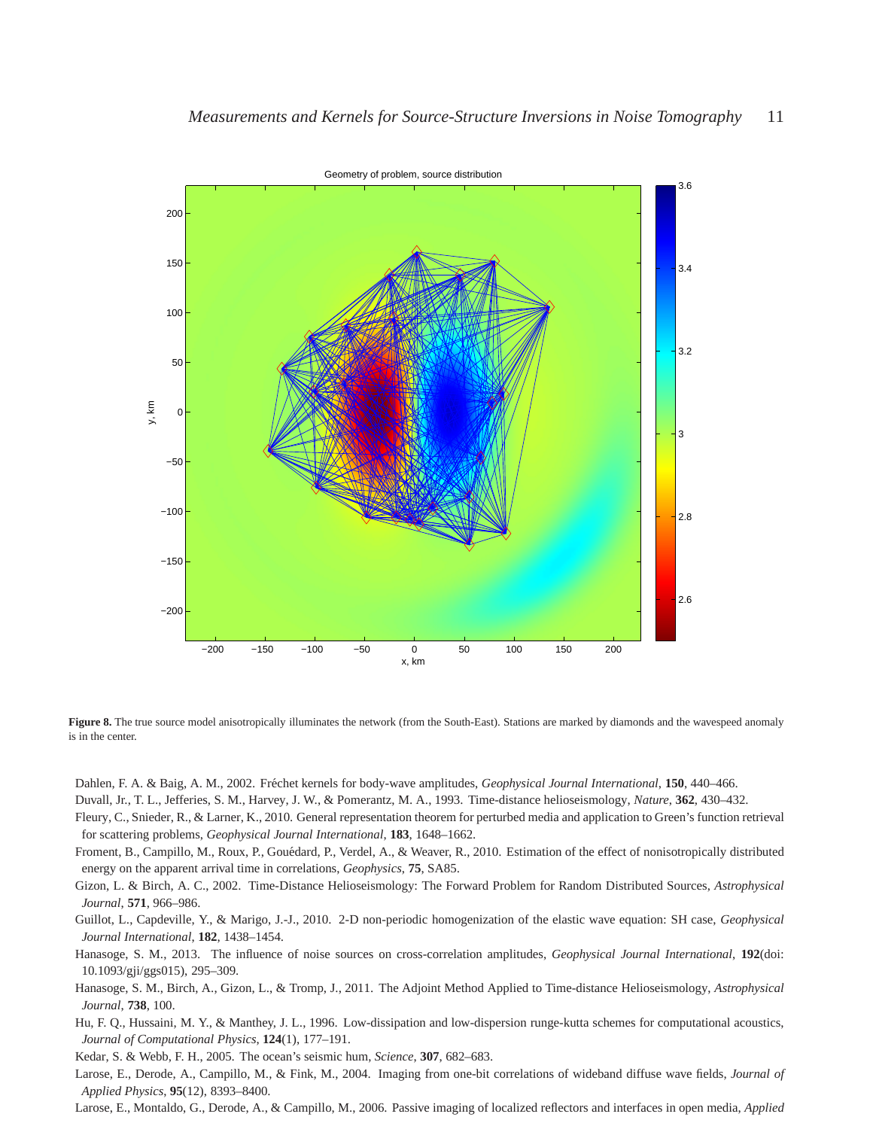

<span id="page-10-11"></span>Figure 8. The true source model anisotropically illuminates the network (from the South-East). Stations are marked by diamonds and the wavespeed anomaly is in the center.

<span id="page-10-10"></span>Dahlen, F. A. & Baig, A. M., 2002. Fréchet kernels for body-wave amplitudes, *Geophysical Journal International*, 150, 440–466.

<span id="page-10-2"></span>Duvall, Jr., T. L., Jefferies, S. M., Harvey, J. W., & Pomerantz, M. A., 1993. Time-distance helioseismology, *Nature*, **362**, 430–432.

<span id="page-10-1"></span>Fleury, C., Snieder, R., & Larner, K., 2010. General representation theorem for perturbed media and application to Green's function retrieval for scattering problems, *Geophysical Journal International*, **183**, 1648–1662.

<span id="page-10-5"></span>Froment, B., Campillo, M., Roux, P., Gouédard, P., Verdel, A., & Weaver, R., 2010. Estimation of the effect of nonisotropically distributed energy on the apparent arrival time in correlations, *Geophysics*, **75**, SA85.

<span id="page-10-3"></span>Gizon, L. & Birch, A. C., 2002. Time-Distance Helioseismology: The Forward Problem for Random Distributed Sources, *Astrophysical Journal*, **571**, 966–986.

<span id="page-10-6"></span>Guillot, L., Capdeville, Y., & Marigo, J.-J., 2010. 2-D non-periodic homogenization of the elastic wave equation: SH case, *Geophysical Journal International*, **182**, 1438–1454.

<span id="page-10-8"></span>Hanasoge, S. M., 2013. The influence of noise sources on cross-correlation amplitudes, *Geophysical Journal International*, **192**(doi: 10.1093/gji/ggs015), 295–309.

<span id="page-10-9"></span>Hanasoge, S. M., Birch, A., Gizon, L., & Tromp, J., 2011. The Adjoint Method Applied to Time-distance Helioseismology, *Astrophysical Journal*, **738**, 100.

<span id="page-10-7"></span>Hu, F. Q., Hussaini, M. Y., & Manthey, J. L., 1996. Low-dissipation and low-dispersion runge-kutta schemes for computational acoustics, *Journal of Computational Physics*, **124**(1), 177–191.

<span id="page-10-0"></span>Kedar, S. & Webb, F. H., 2005. The ocean's seismic hum, *Science*, **307**, 682–683.

<span id="page-10-12"></span>Larose, E., Derode, A., Campillo, M., & Fink, M., 2004. Imaging from one-bit correlations of wideband diffuse wave fields, *Journal of Applied Physics*, **95**(12), 8393–8400.

<span id="page-10-4"></span>Larose, E., Montaldo, G., Derode, A., & Campillo, M., 2006. Passive imaging of localized reflectors and interfaces in open media, *Applied*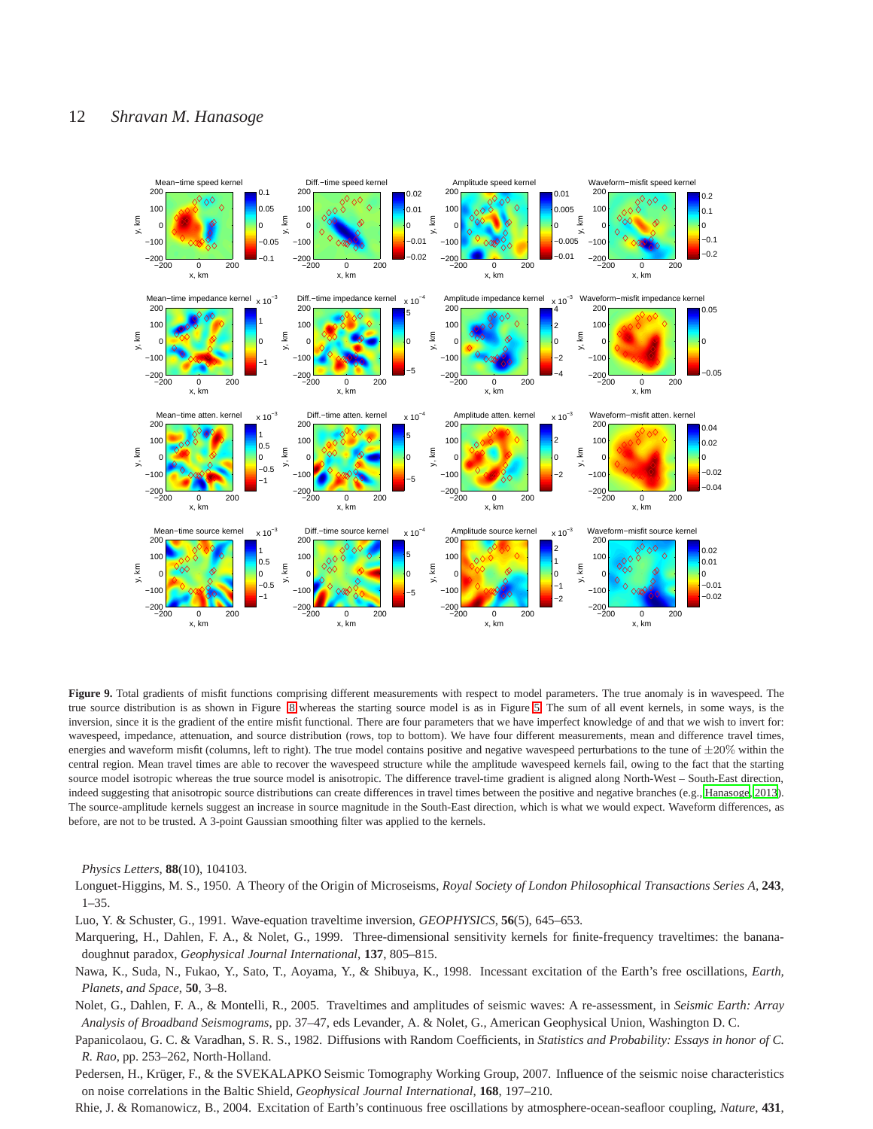

<span id="page-11-8"></span>**Figure 9.** Total gradients of misfit functions comprising different measurements with respect to model parameters. The true anomaly is in wavespeed. The true source distribution is as shown in Figure [8](#page-10-11) whereas the starting source model is as in Figure [5.](#page-7-0) The sum of all event kernels, in some ways, is the inversion, since it is the gradient of the entire misfit functional. There are four parameters that we have imperfect knowledge of and that we wish to invert for: wavespeed, impedance, attenuation, and source distribution (rows, top to bottom). We have four different measurements, mean and difference travel times, energies and waveform misfit (columns, left to right). The true model contains positive and negative wavespeed perturbations to the tune of  $\pm 20\%$  within the central region. Mean travel times are able to recover the wavespeed structure while the amplitude wavespeed kernels fail, owing to the fact that the starting source model isotropic whereas the true source model is anisotropic. The difference travel-time gradient is aligned along North-West – South-East direction, indeed suggesting that anisotropic source distributions can create differences in travel times between the positive and negative branches (e.g., [Hanasoge, 2013](#page-10-8)). The source-amplitude kernels suggest an increase in source magnitude in the South-East direction, which is what we would expect. Waveform differences, as before, are not to be trusted. A 3-point Gaussian smoothing filter was applied to the kernels.

*Physics Letters*, **88**(10), 104103.

<span id="page-11-0"></span>Longuet-Higgins, M. S., 1950. A Theory of the Origin of Microseisms, *Royal Society of London Philosophical Transactions Series A*, **243**, 1–35.

<span id="page-11-6"></span>Luo, Y. & Schuster, G., 1991. Wave-equation traveltime inversion, *GEOPHYSICS*, **56**(5), 645–653.

<span id="page-11-3"></span>Marquering, H., Dahlen, F. A., & Nolet, G., 1999. Three-dimensional sensitivity kernels for finite-frequency traveltimes: the bananadoughnut paradox, *Geophysical Journal International*, **137**, 805–815.

<span id="page-11-1"></span>Nawa, K., Suda, N., Fukao, Y., Sato, T., Aoyama, Y., & Shibuya, K., 1998. Incessant excitation of the Earth's free oscillations, *Earth, Planets, and Space*, **50**, 3–8.

<span id="page-11-7"></span>Nolet, G., Dahlen, F. A., & Montelli, R., 2005. Traveltimes and amplitudes of seismic waves: A re-assessment, in *Seismic Earth: Array Analysis of Broadband Seismograms*, pp. 37–47, eds Levander, A. & Nolet, G., American Geophysical Union, Washington D. C.

<span id="page-11-5"></span>Papanicolaou, G. C. & Varadhan, S. R. S., 1982. Diffusions with Random Coefficients, in *Statistics and Probability: Essays in honor of C. R. Rao*, pp. 253–262, North-Holland.

<span id="page-11-4"></span>Pedersen, H., Krüger, F., & the SVEKALAPKO Seismic Tomography Working Group, 2007. Influence of the seismic noise characteristics on noise correlations in the Baltic Shield, *Geophysical Journal International*, **168**, 197–210.

<span id="page-11-2"></span>Rhie, J. & Romanowicz, B., 2004. Excitation of Earth's continuous free oscillations by atmosphere-ocean-seafloor coupling, *Nature*, **431**,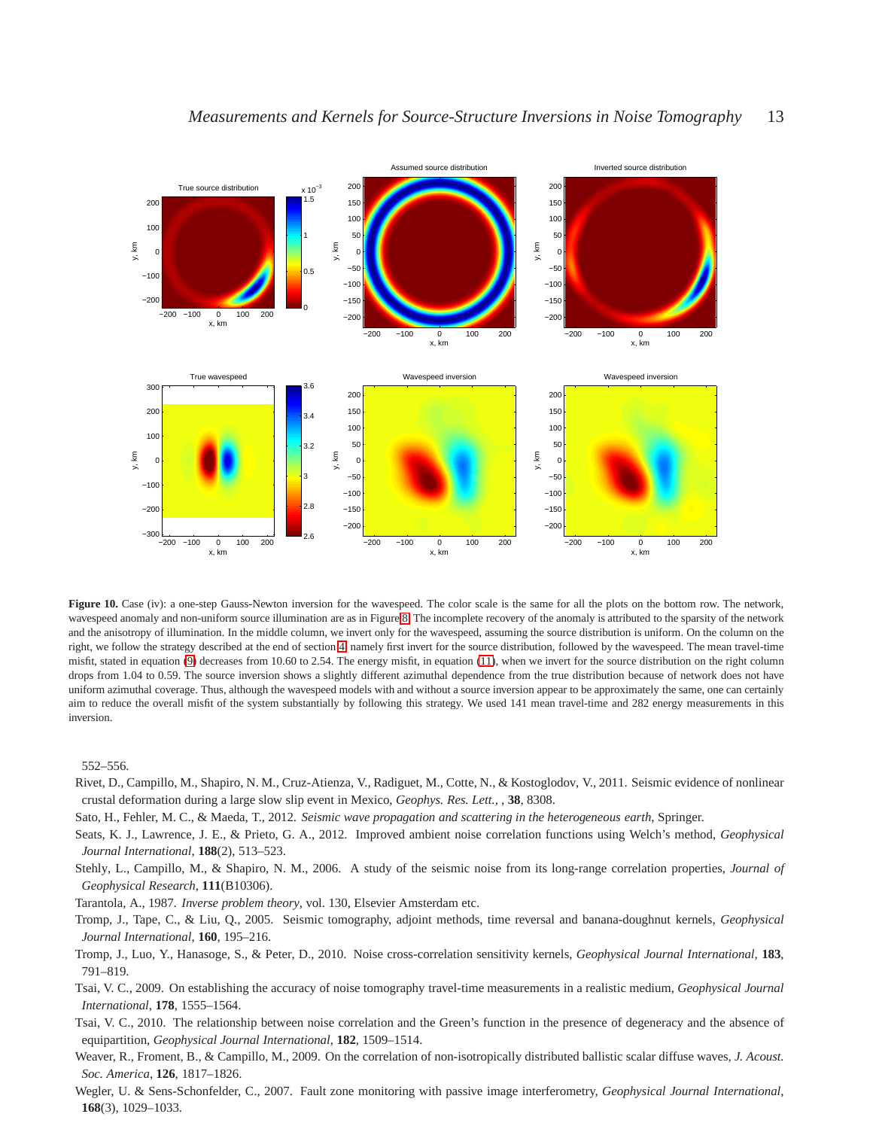

<span id="page-12-10"></span>Figure 10. Case (iv): a one-step Gauss-Newton inversion for the wavespeed. The color scale is the same for all the plots on the bottom row. The network, wavespeed anomaly and non-uniform source illumination are as in Figure [8.](#page-10-11) The incomplete recovery of the anomaly is attributed to the sparsity of the network and the anisotropy of illumination. In the middle column, we invert only for the wavespeed, assuming the source distribution is uniform. On the column on the right, we follow the strategy described at the end of section [4,](#page-4-1) namely first invert for the source distribution, followed by the wavespeed. The mean travel-time misfit, stated in equation [\(9\)](#page-2-3) decreases from 10.60 to 2.54. The energy misfit, in equation [\(11\)](#page-2-3), when we invert for the source distribution on the right column drops from 1.04 to 0.59. The source inversion shows a slightly different azimuthal dependence from the true distribution because of network does not have uniform azimuthal coverage. Thus, although the wavespeed models with and without a source inversion appear to be approximately the same, one can certainly aim to reduce the overall misfit of the system substantially by following this strategy. We used 141 mean travel-time and 282 energy measurements in this inversion.

552–556.

<span id="page-12-2"></span>Rivet, D., Campillo, M., Shapiro, N. M., Cruz-Atienza, V., Radiguet, M., Cotte, N., & Kostoglodov, V., 2011. Seismic evidence of nonlinear crustal deformation during a large slow slip event in Mexico, *Geophys. Res. Lett.,* , **38**, 8308.

<span id="page-12-7"></span>Sato, H., Fehler, M. C., & Maeda, T., 2012. *Seismic wave propagation and scattering in the heterogeneous earth*, Springer.

<span id="page-12-8"></span>Seats, K. J., Lawrence, J. E., & Prieto, G. A., 2012. Improved ambient noise correlation functions using Welch's method, *Geophysical Journal International*, **188**(2), 513–523.

<span id="page-12-0"></span>Stehly, L., Campillo, M., & Shapiro, N. M., 2006. A study of the seismic noise from its long-range correlation properties, *Journal of Geophysical Research*, **111**(B10306).

<span id="page-12-11"></span>Tarantola, A., 1987. *Inverse problem theory*, vol. 130, Elsevier Amsterdam etc.

<span id="page-12-9"></span>Tromp, J., Tape, C., & Liu, Q., 2005. Seismic tomography, adjoint methods, time reversal and banana-doughnut kernels, *Geophysical Journal International*, **160**, 195–216.

<span id="page-12-3"></span>Tromp, J., Luo, Y., Hanasoge, S., & Peter, D., 2010. Noise cross-correlation sensitivity kernels, *Geophysical Journal International*, **183**, 791–819.

<span id="page-12-4"></span>Tsai, V. C., 2009. On establishing the accuracy of noise tomography travel-time measurements in a realistic medium, *Geophysical Journal International*, **178**, 1555–1564.

<span id="page-12-6"></span>Tsai, V. C., 2010. The relationship between noise correlation and the Green's function in the presence of degeneracy and the absence of equipartition, *Geophysical Journal International*, **182**, 1509–1514.

<span id="page-12-5"></span>Weaver, R., Froment, B., & Campillo, M., 2009. On the correlation of non-isotropically distributed ballistic scalar diffuse waves, *J. Acoust. Soc. America*, **126**, 1817–1826.

<span id="page-12-1"></span>Wegler, U. & Sens-Schonfelder, C., 2007. Fault zone monitoring with passive image interferometry, *Geophysical Journal International*, **168**(3), 1029–1033.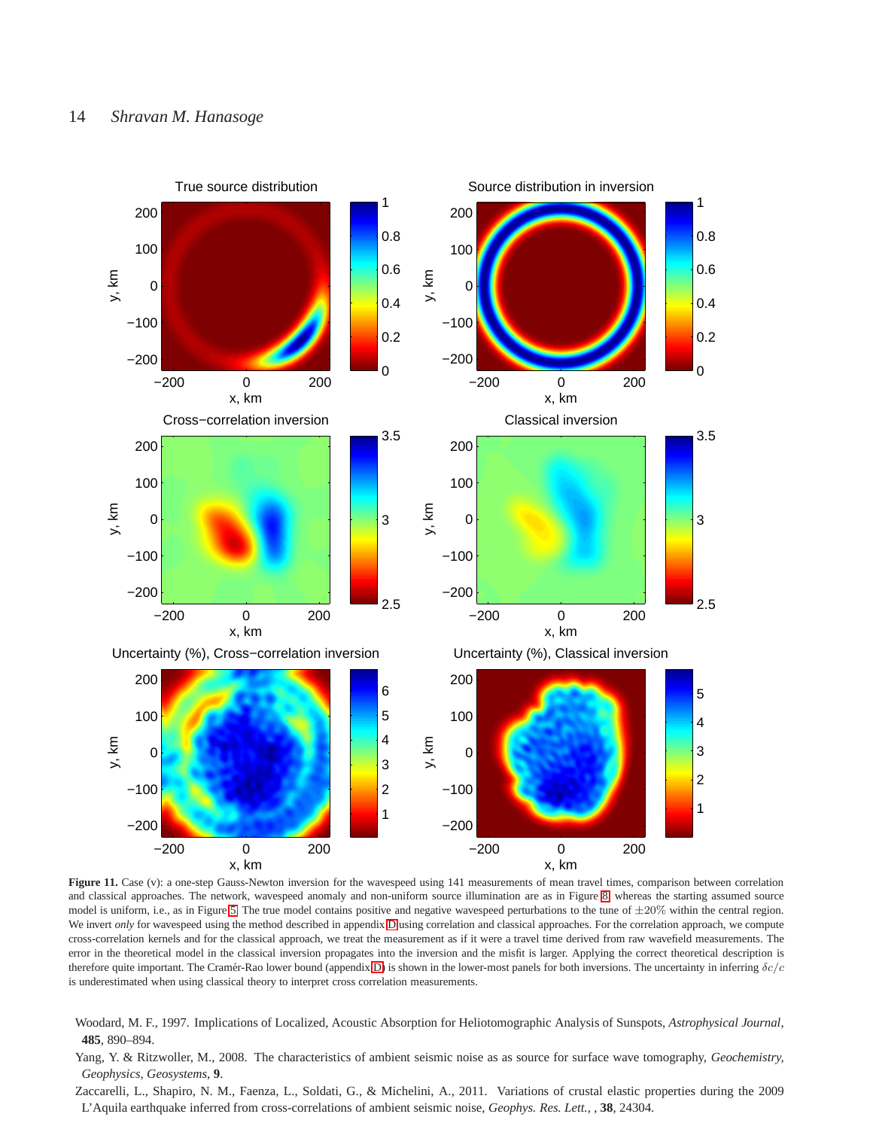

<span id="page-13-3"></span>Figure 11. Case (v): a one-step Gauss-Newton inversion for the wavespeed using 141 measurements of mean travel times, comparison between correlation and classical approaches. The network, wavespeed anomaly and non-uniform source illumination are as in Figure [8.](#page-10-11) whereas the starting assumed source model is uniform, i.e., as in Figure [5.](#page-7-0) The true model contains positive and negative wavespeed perturbations to the tune of  $\pm 20\%$  within the central region. We invert *only* for wavespeed using the method described in appendix [D](#page-17-0) using correlation and classical approaches. For the correlation approach, we compute cross-correlation kernels and for the classical approach, we treat the measurement as if it were a travel time derived from raw wavefield measurements. The error in the theoretical model in the classical inversion propagates into the inversion and the misfit is larger. Applying the correct theoretical description is therefore quite important. The Cramér-Rao lower bound (appendix [D\)](#page-17-0) is shown in the lower-most panels for both inversions. The uncertainty in inferring  $\delta c/c$ is underestimated when using classical theory to interpret cross correlation measurements.

- <span id="page-13-2"></span>Woodard, M. F., 1997. Implications of Localized, Acoustic Absorption for Heliotomographic Analysis of Sunspots, *Astrophysical Journal*, **485**, 890–894.
- <span id="page-13-1"></span>Yang, Y. & Ritzwoller, M., 2008. The characteristics of ambient seismic noise as as source for surface wave tomography, *Geochemistry, Geophysics, Geosystems*, **9**.
- <span id="page-13-0"></span>Zaccarelli, L., Shapiro, N. M., Faenza, L., Soldati, G., & Michelini, A., 2011. Variations of crustal elastic properties during the 2009 L'Aquila earthquake inferred from cross-correlations of ambient seismic noise, *Geophys. Res. Lett.,* , **38**, 24304.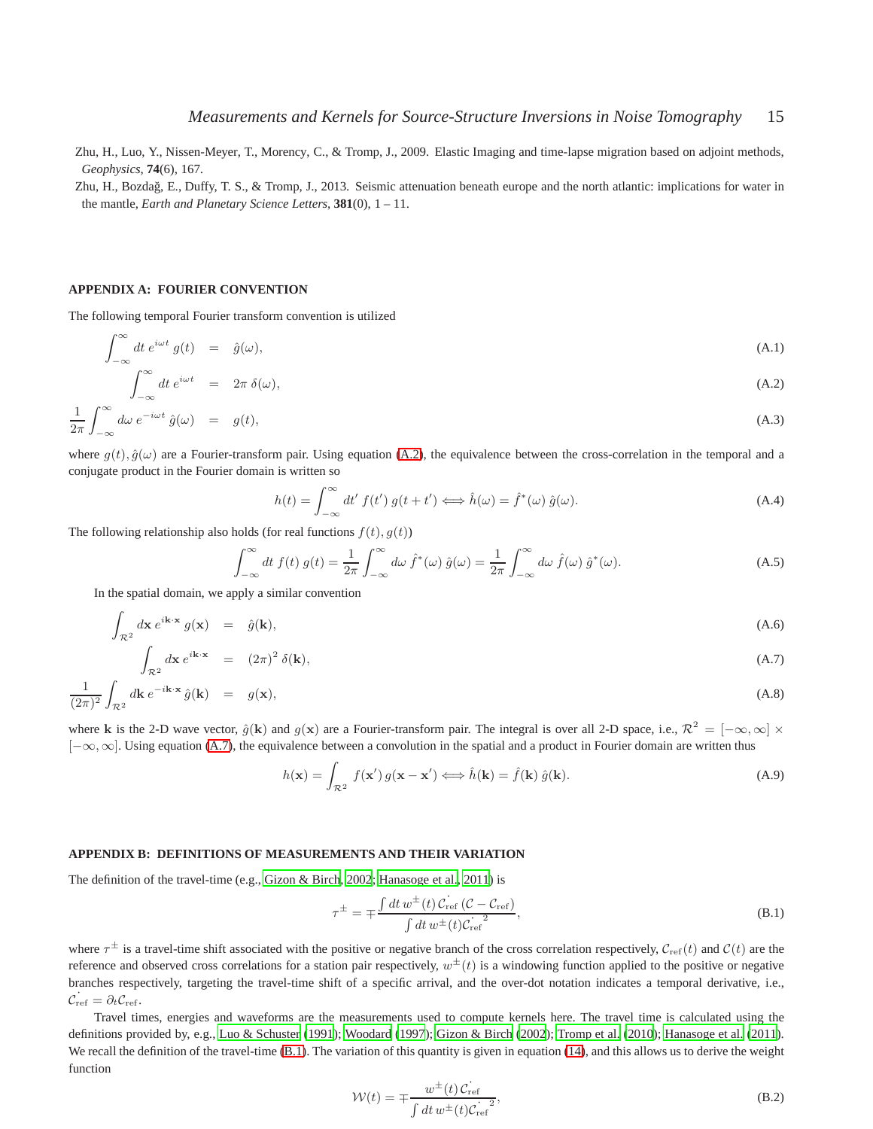<span id="page-14-9"></span>Zhu, H., Luo, Y., Nissen-Meyer, T., Morency, C., & Tromp, J., 2009. Elastic Imaging and time-lapse migration based on adjoint methods, *Geophysics*, **74**(6), 167.

<span id="page-14-0"></span>Zhu, H., Bozda˘g, E., Duffy, T. S., & Tromp, J., 2013. Seismic attenuation beneath europe and the north atlantic: implications for water in the mantle, *Earth and Planetary Science Letters*, **381**(0), 1 – 11.

## <span id="page-14-5"></span>**APPENDIX A: FOURIER CONVENTION**

 $\sim$ 

The following temporal Fourier transform convention is utilized

<span id="page-14-6"></span>
$$
\int_{-\infty}^{\infty} dt \, e^{i\omega t} \, g(t) \quad = \quad \hat{g}(\omega), \tag{A.1}
$$

$$
\int_{-\infty}^{\infty} dt \, e^{i\omega t} = 2\pi \, \delta(\omega), \tag{A.2}
$$

$$
\frac{1}{2\pi} \int_{-\infty}^{\infty} d\omega \, e^{-i\omega t} \, \hat{g}(\omega) = g(t), \tag{A.3}
$$

where  $g(t), \hat{g}(\omega)$  are a Fourier-transform pair. Using equation [\(A.2\)](#page-14-6), the equivalence between the cross-correlation in the temporal and a conjugate product in the Fourier domain is written so

<span id="page-14-1"></span>
$$
h(t) = \int_{-\infty}^{\infty} dt' f(t') g(t + t') \Longleftrightarrow \hat{h}(\omega) = \hat{f}^*(\omega) \hat{g}(\omega).
$$
 (A.4)

The following relationship also holds (for real functions  $f(t)$ ,  $g(t)$ )

<span id="page-14-4"></span>
$$
\int_{-\infty}^{\infty} dt f(t) g(t) = \frac{1}{2\pi} \int_{-\infty}^{\infty} d\omega \, \hat{f}^*(\omega) \, \hat{g}(\omega) = \frac{1}{2\pi} \int_{-\infty}^{\infty} d\omega \, \hat{f}(\omega) \, \hat{g}^*(\omega). \tag{A.5}
$$

In the spatial domain, we apply a similar convention

<span id="page-14-7"></span>
$$
\int_{\mathcal{R}^2} d\mathbf{x} e^{i\mathbf{k}\cdot\mathbf{x}} g(\mathbf{x}) = \hat{g}(\mathbf{k}),
$$
\n(A.6)

$$
\int_{\mathcal{R}^2} d\mathbf{x} e^{i\mathbf{k}\cdot\mathbf{x}} = (2\pi)^2 \delta(\mathbf{k}),
$$
\n(A.7)\n
$$
\frac{1}{(2\pi)^2} \int_{\mathcal{R}^2} d\mathbf{k} e^{-i\mathbf{k}\cdot\mathbf{x}} \hat{g}(\mathbf{k}) = g(\mathbf{x}),
$$
\n(A.8)

where k is the 2-D wave vector,  $\hat{g}(\mathbf{k})$  and  $g(\mathbf{x})$  are a Fourier-transform pair. The integral is over all 2-D space, i.e.,  $\mathcal{R}^2 = [-\infty, \infty] \times$ [−∞,∞]. Using equation [\(A.7\)](#page-14-7), the equivalence between a convolution in the spatial and a product in Fourier domain are written thus

<span id="page-14-8"></span>
$$
h(\mathbf{x}) = \int_{\mathcal{R}^2} f(\mathbf{x}') g(\mathbf{x} - \mathbf{x}') \Longleftrightarrow \hat{h}(\mathbf{k}) = \hat{f}(\mathbf{k}) \hat{g}(\mathbf{k}).
$$
\n(A.9)

#### <span id="page-14-2"></span>**APPENDIX B: DEFINITIONS OF MEASUREMENTS AND THEIR VARIATION**

The definition of the travel-time (e.g., [Gizon & Birch, 2002](#page-10-3); [Hanasoge et al., 2011](#page-10-9)) is

<span id="page-14-3"></span>
$$
\tau^{\pm} = \mp \frac{\int dt \, w^{\pm}(t) \, C_{\text{ref}} \left( C - C_{\text{ref}} \right)}{\int dt \, w^{\pm}(t) C_{\text{ref}}^2},\tag{B.1}
$$

where  $\tau^{\pm}$  is a travel-time shift associated with the positive or negative branch of the cross correlation respectively,  $C_{ref}(t)$  and  $C(t)$  are the reference and observed cross correlations for a station pair respectively,  $w^{\pm}(t)$  is a windowing function applied to the positive or negative branches respectively, targeting the travel-time shift of a specific arrival, and the over-dot notation indicates a temporal derivative, i.e.,  $\dot{\mathcal{C}}_{\rm ref} = \partial_t \mathcal{C}_{\rm ref}.$ 

Travel times, energies and waveforms are the measurements used to compute kernels here. The travel time is calculated using the definitions provided by, e.g., [Luo & Schuster \(1991](#page-11-6)); [Woodard \(1997](#page-13-2)); [Gizon & Birch \(2002](#page-10-3)); [Tromp et al.](#page-12-3) [\(2010](#page-12-3)); [Hanasoge](#page-10-9) et al. [\(2011\)](#page-10-9). We recall the definition of the travel-time [\(B.1\)](#page-14-3). The variation of this quantity is given in equation [\(14\)](#page-3-0), and this allows us to derive the weight function

$$
\mathcal{W}(t) = \mp \frac{w^{\pm}(t) C_{\text{ref}}}{\int dt \, w^{\pm}(t) C_{\text{ref}}^2},\tag{B.2}
$$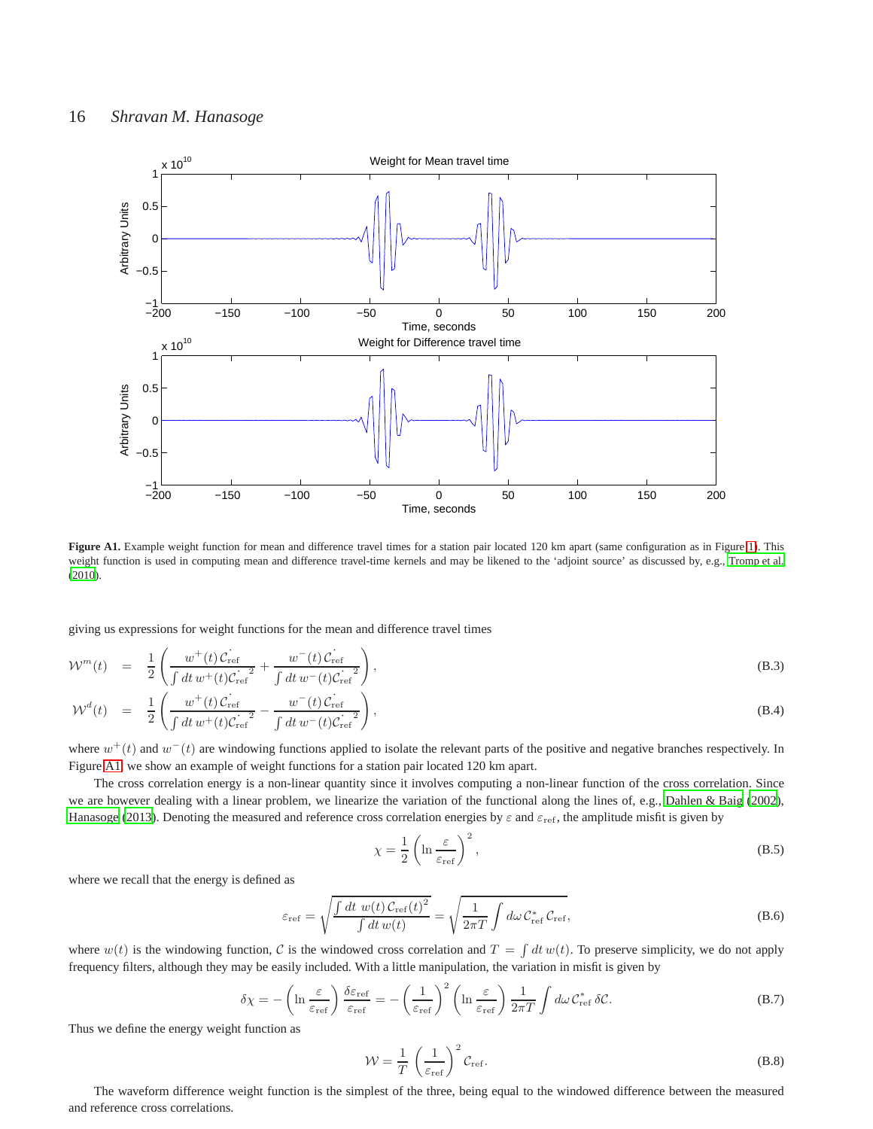

<span id="page-15-0"></span>Figure A1. Example weight function for mean and difference travel times for a station pair located 120 km apart (same configuration as in Figure [1\)](#page-15-0). This weight function is used in computing mean and difference travel-time kernels and may be likened to the 'adjoint source' as discussed by, e.g., [Tromp et al.](#page-12-3) [\(2010\)](#page-12-3).

giving us expressions for weight functions for the mean and difference travel times

$$
\mathcal{W}^{m}(t) = \frac{1}{2} \left( \frac{w^{+}(t) C_{\text{ref}}}{\int dt \, w^{+}(t) C_{\text{ref}}^{2}} + \frac{w^{-}(t) C_{\text{ref}}^{2}}{\int dt \, w^{-}(t) C_{\text{ref}}^{2}} \right),\tag{B.3}
$$

$$
\mathcal{W}^{d}(t) = \frac{1}{2} \left( \frac{w^{+}(t) \mathcal{C}_{\text{ref}}}{\int dt \, w^{+}(t) \mathcal{C}_{\text{ref}}^{2}} - \frac{w^{-}(t) \mathcal{C}_{\text{ref}}}{\int dt \, w^{-}(t) \mathcal{C}_{\text{ref}}^{2}} \right),\tag{B.4}
$$

where  $w^+(t)$  and  $w^-(t)$  are windowing functions applied to isolate the relevant parts of the positive and negative branches respectively. In Figure [A1,](#page-15-0) we show an example of weight functions for a station pair located 120 km apart.

The cross correlation energy is a non-linear quantity since it involves computing a non-linear function of the cross correlation. Since we are however dealing with a linear problem, we linearize the variation of the functional along the lines of, e.g., [Dahlen & Baig \(2002\)](#page-10-10), [Hanasoge](#page-10-8) [\(2013](#page-10-8)). Denoting the measured and reference cross correlation energies by  $\varepsilon$  and  $\varepsilon_{\rm ref}$ , the amplitude misfit is given by

$$
\chi = \frac{1}{2} \left( \ln \frac{\varepsilon}{\varepsilon_{\text{ref}}} \right)^2,\tag{B.5}
$$

where we recall that the energy is defined as

$$
\varepsilon_{\rm ref} = \sqrt{\frac{\int dt \ w(t) \, C_{\rm ref}(t)^2}{\int dt \, w(t)}} = \sqrt{\frac{1}{2\pi T} \int d\omega \, C_{\rm ref}^* \, C_{\rm ref}},\tag{B.6}
$$

where  $w(t)$  is the windowing function, C is the windowed cross correlation and  $T = \int dt w(t)$ . To preserve simplicity, we do not apply frequency filters, although they may be easily included. With a little manipulation, the variation in misfit is given by

$$
\delta \chi = -\left(\ln \frac{\varepsilon}{\varepsilon_{\rm ref}}\right) \frac{\delta \varepsilon_{\rm ref}}{\varepsilon_{\rm ref}} = -\left(\frac{1}{\varepsilon_{\rm ref}}\right)^2 \left(\ln \frac{\varepsilon}{\varepsilon_{\rm ref}}\right) \frac{1}{2\pi T} \int d\omega \, \mathcal{C}_{\rm ref}^* \, \delta \mathcal{C}.\tag{B.7}
$$

Thus we define the energy weight function as

$$
\mathcal{W} = \frac{1}{T} \left( \frac{1}{\varepsilon_{\text{ref}}} \right)^2 \mathcal{C}_{\text{ref}}.
$$
 (B.8)

The waveform difference weight function is the simplest of the three, being equal to the windowed difference between the measured and reference cross correlations.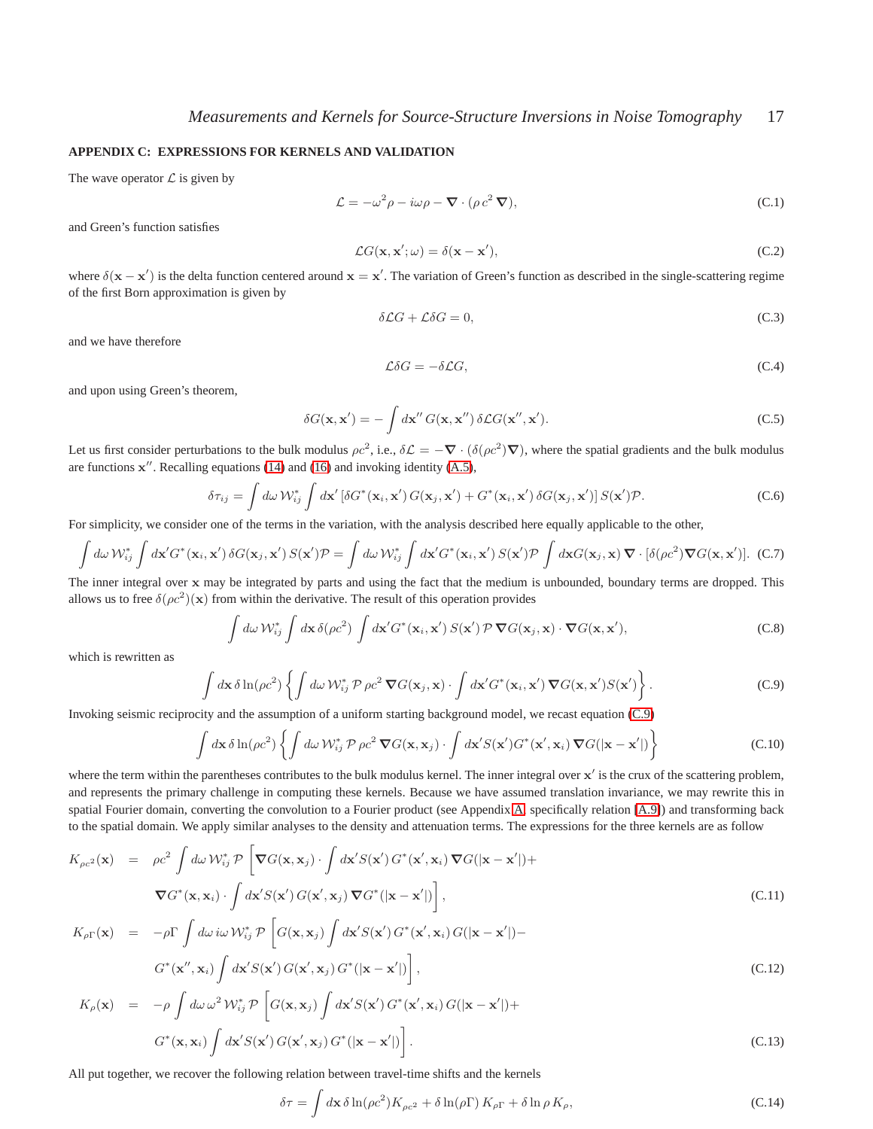## <span id="page-16-0"></span>**APPENDIX C: EXPRESSIONS FOR KERNELS AND VALIDATION**

The wave operator  $\mathcal L$  is given by

$$
\mathcal{L} = -\omega^2 \rho - i\omega \rho - \mathbf{\nabla} \cdot (\rho c^2 \mathbf{\nabla}), \tag{C.1}
$$

and Green's function satisfies

$$
\mathcal{L}G(\mathbf{x}, \mathbf{x}'; \omega) = \delta(\mathbf{x} - \mathbf{x}'),\tag{C.2}
$$

where  $\delta(\mathbf{x} - \mathbf{x}')$  is the delta function centered around  $\mathbf{x} = \mathbf{x}'$ . The variation of Green's function as described in the single-scattering regime of the first Born approximation is given by

$$
\delta \mathcal{L}G + \mathcal{L}\delta G = 0,\tag{C.3}
$$

and we have therefore

$$
\mathcal{L}\delta G = -\delta \mathcal{L}G,\tag{C.4}
$$

and upon using Green's theorem,

$$
\delta G(\mathbf{x}, \mathbf{x}') = -\int d\mathbf{x}'' G(\mathbf{x}, \mathbf{x}'') \, \delta \mathcal{L} G(\mathbf{x}'', \mathbf{x}'). \tag{C.5}
$$

Let us first consider perturbations to the bulk modulus  $\rho c^2$ , i.e.,  $\delta \mathcal{L} = -\nabla \cdot (\delta(\rho c^2) \nabla)$ , where the spatial gradients and the bulk modulus are functions  $x''$ . Recalling equations [\(14\)](#page-3-0) and [\(16\)](#page-4-2) and invoking identity [\(A.5\)](#page-14-4),

$$
\delta \tau_{ij} = \int d\omega \, \mathcal{W}_{ij}^* \int d\mathbf{x}' \left[ \delta G^*(\mathbf{x}_i, \mathbf{x}') G(\mathbf{x}_j, \mathbf{x}') + G^*(\mathbf{x}_i, \mathbf{x}') \delta G(\mathbf{x}_j, \mathbf{x}') \right] S(\mathbf{x}') \mathcal{P}.
$$
 (C.6)

For simplicity, we consider one of the terms in the variation, with the analysis described here equally applicable to the other,

$$
\int d\omega \, \mathcal{W}_{ij}^* \int d\mathbf{x}' G^*(\mathbf{x}_i, \mathbf{x}') \, \delta G(\mathbf{x}_j, \mathbf{x}') \, S(\mathbf{x}') \mathcal{P} = \int d\omega \, \mathcal{W}_{ij}^* \int d\mathbf{x}' G^*(\mathbf{x}_i, \mathbf{x}') \, S(\mathbf{x}') \mathcal{P} \int d\mathbf{x} G(\mathbf{x}_j, \mathbf{x}) \, \nabla \cdot [\delta(\rho c^2) \nabla G(\mathbf{x}, \mathbf{x}')] . \tag{C.7}
$$

The inner integral over x may be integrated by parts and using the fact that the medium is unbounded, boundary terms are dropped. This allows us to free  $\delta(\rho c^2)(x)$  from within the derivative. The result of this operation provides

$$
\int d\omega \, \mathcal{W}_{ij}^* \int d\mathbf{x} \, \delta(\rho c^2) \int d\mathbf{x}' G^*(\mathbf{x}_i, \mathbf{x}') \, S(\mathbf{x}') \, \mathcal{P} \, \nabla G(\mathbf{x}_j, \mathbf{x}) \cdot \nabla G(\mathbf{x}, \mathbf{x}'), \tag{C.8}
$$

which is rewritten as

<span id="page-16-1"></span>
$$
\int d\mathbf{x} \,\delta \ln(\rho c^2) \left\{ \int d\omega \,\mathcal{W}_{ij}^* \,\mathcal{P} \,\rho c^2 \,\mathbf{\nabla} G(\mathbf{x}_j, \mathbf{x}) \cdot \int d\mathbf{x}' G^*(\mathbf{x}_i, \mathbf{x}') \,\mathbf{\nabla} G(\mathbf{x}, \mathbf{x}') S(\mathbf{x}') \right\}.
$$
 (C.9)

Invoking seismic reciprocity and the assumption of a uniform starting background model, we recast equation [\(C.9\)](#page-16-1)

$$
\int d\mathbf{x} \,\delta \ln(\rho c^2) \left\{ \int d\omega \,\mathcal{W}_{ij}^* \,\mathcal{P} \,\rho c^2 \,\mathbf{\nabla} G(\mathbf{x}, \mathbf{x}_j) \cdot \int d\mathbf{x}' S(\mathbf{x}') G^*(\mathbf{x}', \mathbf{x}_i) \,\mathbf{\nabla} G(|\mathbf{x} - \mathbf{x}'|) \right\}
$$
\n(C.10)

where the term within the parentheses contributes to the bulk modulus kernel. The inner integral over  $x'$  is the crux of the scattering problem, and represents the primary challenge in computing these kernels. Because we have assumed translation invariance, we may rewrite this in spatial Fourier domain, converting the convolution to a Fourier product (see Appendix [A,](#page-14-5) specifically relation [\[A.9\]](#page-14-8)) and transforming back to the spatial domain. We apply similar analyses to the density and attenuation terms. The expressions for the three kernels are as follow

$$
K_{\rho c^2}(\mathbf{x}) = \rho c^2 \int d\omega \, \mathcal{W}_{ij}^* \, \mathcal{P} \left[ \nabla G(\mathbf{x}, \mathbf{x}_j) \cdot \int d\mathbf{x}' S(\mathbf{x}') \, G^*(\mathbf{x}', \mathbf{x}_i) \, \nabla G(|\mathbf{x} - \mathbf{x}'|) + \nabla G^*(\mathbf{x}, \mathbf{x}_i) \cdot \int d\mathbf{x}' S(\mathbf{x}') \, G(\mathbf{x}', \mathbf{x}_j) \, \nabla G^*(|\mathbf{x} - \mathbf{x}'|) \right],
$$
\n(C.11)

$$
K_{\rho\Gamma}(\mathbf{x}) = -\rho\Gamma \int d\omega \, i\omega \, \mathcal{W}_{ij}^* \, \mathcal{P} \left[ G(\mathbf{x}, \mathbf{x}_j) \int d\mathbf{x}' S(\mathbf{x}') \, G^*(\mathbf{x}', \mathbf{x}_i) \, G(|\mathbf{x} - \mathbf{x}'|) - G^*(\mathbf{x}'', \mathbf{x}_i) \int d\mathbf{x}' S(\mathbf{x}') \, G(\mathbf{x}', \mathbf{x}_j) \, G^*(|\mathbf{x} - \mathbf{x}'|) \right],
$$
\n(C.12)

$$
K_{\rho}(\mathbf{x}) = -\rho \int d\omega \,\omega^2 \,\mathcal{W}_{ij}^* \,\mathcal{P}\left[G(\mathbf{x}, \mathbf{x}_j) \int d\mathbf{x}' S(\mathbf{x}') \, G^*(\mathbf{x}', \mathbf{x}_i) \, G(|\mathbf{x} - \mathbf{x}'|) +\n\right. \\
\left. G^*(\mathbf{x}, \mathbf{x}_i) \int d\mathbf{x}' S(\mathbf{x}') \, G(\mathbf{x}', \mathbf{x}_j) \, G^*(|\mathbf{x} - \mathbf{x}'|)\right].\n\tag{C.13}
$$

All put together, we recover the following relation between travel-time shifts and the kernels

$$
\delta \tau = \int d\mathbf{x} \,\delta \ln(\rho c^2) K_{\rho c^2} + \delta \ln(\rho \Gamma) K_{\rho \Gamma} + \delta \ln \rho K_{\rho},\tag{C.14}
$$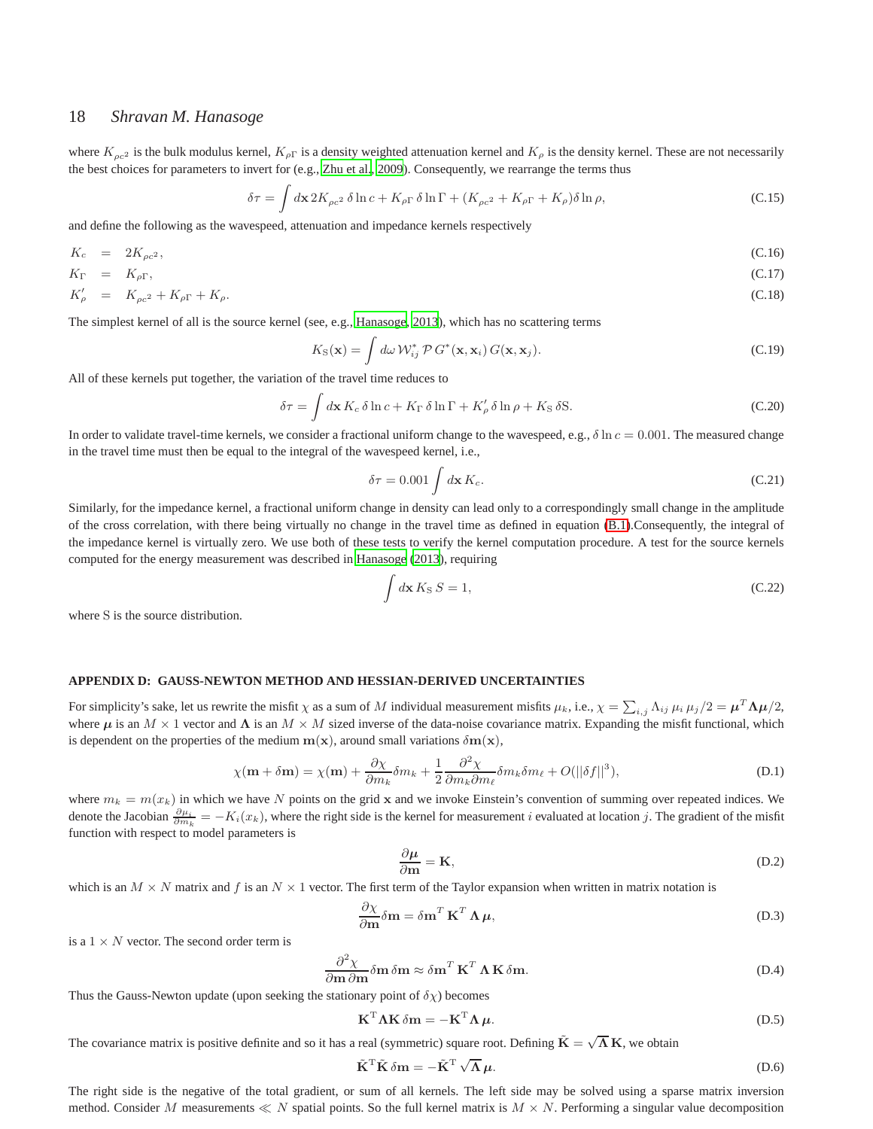# 18 *Shravan M. Hanasoge*

where  $K_{\rho c^2}$  is the bulk modulus kernel,  $K_{\rho\Gamma}$  is a density weighted attenuation kernel and  $K_{\rho}$  is the density kernel. These are not necessarily the best choices for parameters to invert for (e.g., [Zhu et al., 2009\)](#page-14-9). Consequently, we rearrange the terms thus

$$
\delta \tau = \int d\mathbf{x} \, 2K_{\rho c^2} \, \delta \ln c + K_{\rho \Gamma} \, \delta \ln \Gamma + (K_{\rho c^2} + K_{\rho \Gamma} + K_{\rho}) \delta \ln \rho,\tag{C.15}
$$

and define the following as the wavespeed, attenuation and impedance kernels respectively

$$
K_c = 2K_{\rho c^2}, \tag{C.16}
$$

$$
K_{\Gamma} = K_{\rho \Gamma}, \tag{C.17}
$$

$$
K'_{\rho} = K_{\rho c^2} + K_{\rho \Gamma} + K_{\rho}.
$$
\n(C.18)

The simplest kernel of all is the source kernel (see, e.g., [Hanasoge](#page-10-8), [2013](#page-10-8)), which has no scattering terms

$$
K_{\rm S}(\mathbf{x}) = \int d\omega \, \mathcal{W}_{ij}^* \, \mathcal{P} \, G^*(\mathbf{x}, \mathbf{x}_i) \, G(\mathbf{x}, \mathbf{x}_j). \tag{C.19}
$$

All of these kernels put together, the variation of the travel time reduces to

$$
\delta \tau = \int d\mathbf{x} \, K_c \, \delta \ln c + K_{\Gamma} \, \delta \ln \Gamma + K'_{\rho} \, \delta \ln \rho + K_{\mathcal{S}} \, \delta \mathcal{S}.\tag{C.20}
$$

In order to validate travel-time kernels, we consider a fractional uniform change to the wavespeed, e.g.,  $\delta \ln c = 0.001$ . The measured change in the travel time must then be equal to the integral of the wavespeed kernel, i.e.,

$$
\delta \tau = 0.001 \int d\mathbf{x} K_c.
$$
 (C.21)

Similarly, for the impedance kernel, a fractional uniform change in density can lead only to a correspondingly small change in the amplitude of the cross correlation, with there being virtually no change in the travel time as defined in equation [\(B.1\)](#page-14-3).Consequently, the integral of the impedance kernel is virtually zero. We use both of these tests to verify the kernel computation procedure. A test for the source kernels computed for the energy measurement was described in [Hanasoge](#page-10-8) [\(2013](#page-10-8)), requiring

$$
\int d\mathbf{x} K_{\rm S} S = 1,\tag{C.22}
$$

where S is the source distribution.

## <span id="page-17-0"></span>**APPENDIX D: GAUSS-NEWTON METHOD AND HESSIAN-DERIVED UNCERTAINTIES**

For simplicity's sake, let us rewrite the misfit  $\chi$  as a sum of M individual measurement misfits  $\mu_k$ , i.e.,  $\chi = \sum_{i,j} \Lambda_{ij} \mu_i \mu_j/2 = \mu^T \Lambda \mu/2$ , where  $\mu$  is an  $M \times 1$  vector and  $\Lambda$  is an  $M \times M$  sized inverse of the data-noise covariance matrix. Expanding the misfit functional, which is dependent on the properties of the medium  $m(x)$ , around small variations  $\delta m(x)$ ,

$$
\chi(\mathbf{m} + \delta \mathbf{m}) = \chi(\mathbf{m}) + \frac{\partial \chi}{\partial m_k} \delta m_k + \frac{1}{2} \frac{\partial^2 \chi}{\partial m_k \partial m_\ell} \delta m_k \delta m_\ell + O(||\delta f||^3), \tag{D.1}
$$

where  $m_k = m(x_k)$  in which we have N points on the grid x and we invoke Einstein's convention of summing over repeated indices. We denote the Jacobian  $\frac{\partial \mu_i}{\partial m_k} = -K_i(x_k)$ , where the right side is the kernel for measurement i evaluated at location j. The gradient of the misfit function with respect to model parameters is

$$
\frac{\partial \mu}{\partial \mathbf{m}} = \mathbf{K},\tag{D.2}
$$

which is an  $M \times N$  matrix and f is an  $N \times 1$  vector. The first term of the Taylor expansion when written in matrix notation is

$$
\frac{\partial \chi}{\partial \mathbf{m}} \delta \mathbf{m} = \delta \mathbf{m}^T \mathbf{K}^T \mathbf{\Lambda} \boldsymbol{\mu},\tag{D.3}
$$

is a  $1 \times N$  vector. The second order term is

$$
\frac{\partial^2 \chi}{\partial m \partial m} \delta m \approx \delta m^T \mathbf{K}^T \Lambda \mathbf{K} \delta m.
$$
 (D.4)

Thus the Gauss-Newton update (upon seeking the stationary point of  $\delta \chi$ ) becomes

$$
\mathbf{K}^{\mathrm{T}} \mathbf{\Lambda} \mathbf{K} \, \delta \mathbf{m} = -\mathbf{K}^{\mathrm{T}} \mathbf{\Lambda} \, \boldsymbol{\mu}.
$$
 (D.5)

The covariance matrix is positive definite and so it has a real (symmetric) square root. Defining  $\tilde{K} = \sqrt{\Lambda} K$ , we obtain

$$
\tilde{\mathbf{K}}^{\mathrm{T}} \tilde{\mathbf{K}} \, \delta \mathbf{m} = -\tilde{\mathbf{K}}^{\mathrm{T}} \, \sqrt{\mathbf{\Lambda}} \, \boldsymbol{\mu}.
$$
 (D.6)

The right side is the negative of the total gradient, or sum of all kernels. The left side may be solved using a sparse matrix inversion method. Consider M measurements  $\ll N$  spatial points. So the full kernel matrix is  $M \times N$ . Performing a singular value decomposition